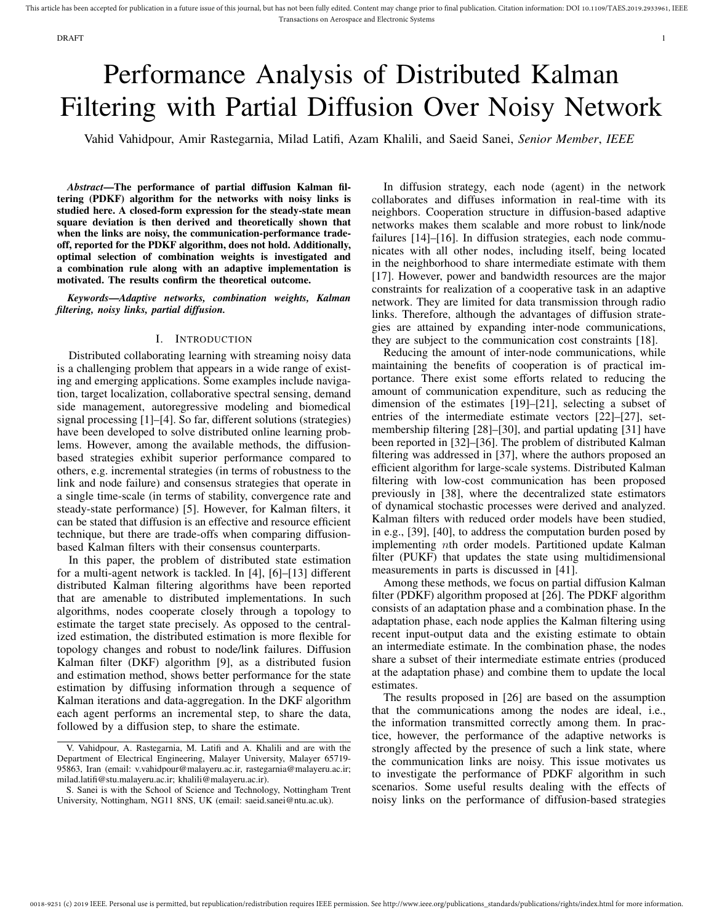# Performance Analysis of Distributed Kalman Filtering with Partial Diffusion Over Noisy Network

Vahid Vahidpour, Amir Rastegarnia, Milad Latifi, Azam Khalili, and Saeid Sanei, *Senior Member*, *IEEE*

*Abstract*—The performance of partial diffusion Kalman filtering (PDKF) algorithm for the networks with noisy links is studied here. A closed-form expression for the steady-state mean square deviation is then derived and theoretically shown that when the links are noisy, the communication-performance tradeoff, reported for the PDKF algorithm, does not hold. Additionally, optimal selection of combination weights is investigated and a combination rule along with an adaptive implementation is motivated. The results confirm the theoretical outcome.

*Keywords*—*Adaptive networks, combination weights, Kalman filtering, noisy links, partial diffusion.*

# I. INTRODUCTION

Distributed collaborating learning with streaming noisy data is a challenging problem that appears in a wide range of existing and emerging applications. Some examples include navigation, target localization, collaborative spectral sensing, demand side management, autoregressive modeling and biomedical signal processing [1]–[4]. So far, different solutions (strategies) have been developed to solve distributed online learning problems. However, among the available methods, the diffusionbased strategies exhibit superior performance compared to others, e.g. incremental strategies (in terms of robustness to the link and node failure) and consensus strategies that operate in a single time-scale (in terms of stability, convergence rate and steady-state performance) [5]. However, for Kalman filters, it can be stated that diffusion is an effective and resource efficient technique, but there are trade-offs when comparing diffusionbased Kalman filters with their consensus counterparts.

In this paper, the problem of distributed state estimation for a multi-agent network is tackled. In [4], [6]–[13] different distributed Kalman filtering algorithms have been reported that are amenable to distributed implementations. In such algorithms, nodes cooperate closely through a topology to estimate the target state precisely. As opposed to the centralized estimation, the distributed estimation is more flexible for topology changes and robust to node/link failures. Diffusion Kalman filter (DKF) algorithm [9], as a distributed fusion and estimation method, shows better performance for the state estimation by diffusing information through a sequence of Kalman iterations and data-aggregation. In the DKF algorithm each agent performs an incremental step, to share the data, followed by a diffusion step, to share the estimate.

In diffusion strategy, each node (agent) in the network collaborates and diffuses information in real-time with its neighbors. Cooperation structure in diffusion-based adaptive networks makes them scalable and more robust to link/node failures [14]–[16]. In diffusion strategies, each node communicates with all other nodes, including itself, being located in the neighborhood to share intermediate estimate with them [17]. However, power and bandwidth resources are the major constraints for realization of a cooperative task in an adaptive network. They are limited for data transmission through radio links. Therefore, although the advantages of diffusion strategies are attained by expanding inter-node communications, they are subject to the communication cost constraints [18].

Reducing the amount of inter-node communications, while maintaining the benefits of cooperation is of practical importance. There exist some efforts related to reducing the amount of communication expenditure, such as reducing the dimension of the estimates [19]–[21], selecting a subset of entries of the intermediate estimate vectors [22]–[27], setmembership filtering [28]–[30], and partial updating [31] have been reported in [32]–[36]. The problem of distributed Kalman filtering was addressed in [37], where the authors proposed an efficient algorithm for large-scale systems. Distributed Kalman filtering with low-cost communication has been proposed previously in [38], where the decentralized state estimators of dynamical stochastic processes were derived and analyzed. Kalman filters with reduced order models have been studied, in e.g., [39], [40], to address the computation burden posed by implementing nth order models. Partitioned update Kalman filter (PUKF) that updates the state using multidimensional measurements in parts is discussed in [41].

Among these methods, we focus on partial diffusion Kalman filter (PDKF) algorithm proposed at [26]. The PDKF algorithm consists of an adaptation phase and a combination phase. In the adaptation phase, each node applies the Kalman filtering using recent input-output data and the existing estimate to obtain an intermediate estimate. In the combination phase, the nodes share a subset of their intermediate estimate entries (produced at the adaptation phase) and combine them to update the local estimates.

The results proposed in [26] are based on the assumption that the communications among the nodes are ideal, i.e., the information transmitted correctly among them. In practice, however, the performance of the adaptive networks is strongly affected by the presence of such a link state, where the communication links are noisy. This issue motivates us to investigate the performance of PDKF algorithm in such scenarios. Some useful results dealing with the effects of noisy links on the performance of diffusion-based strategies

V. Vahidpour, A. Rastegarnia, M. Latifi and A. Khalili and are with the Department of Electrical Engineering, Malayer University, Malayer 65719- 95863, Iran (email: v.vahidpour@malayeru.ac.ir, rastegarnia@malayeru.ac.ir; milad.latifi@stu.malayeru.ac.ir; khalili@malayeru.ac.ir).

S. Sanei is with the School of Science and Technology, Nottingham Trent University, Nottingham, NG11 8NS, UK (email: saeid.sanei@ntu.ac.uk).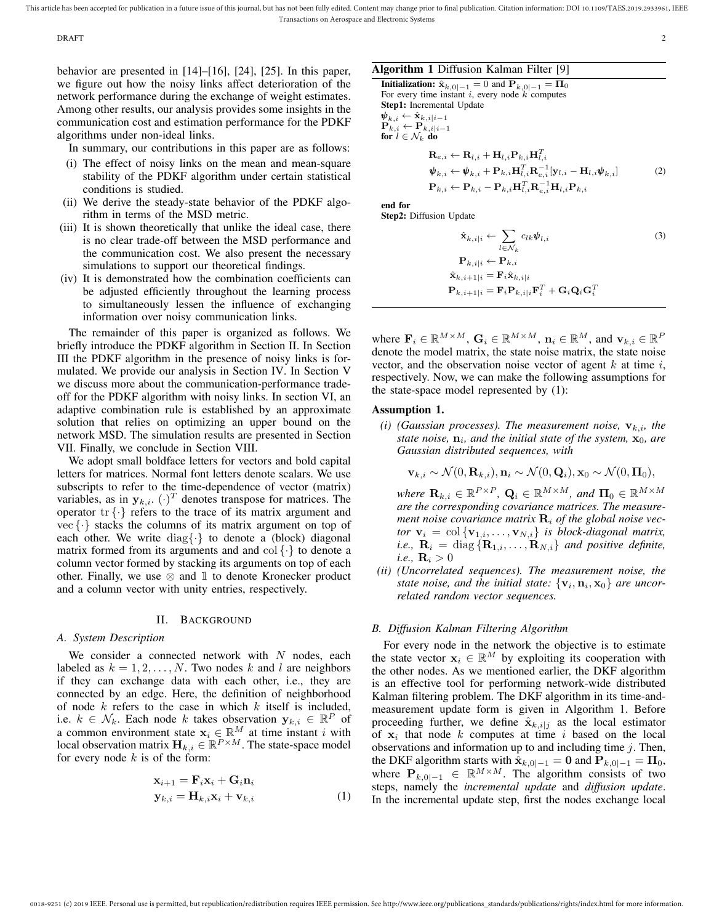DRAFT 2

behavior are presented in [14]–[16], [24], [25]. In this paper, we figure out how the noisy links affect deterioration of the network performance during the exchange of weight estimates. Among other results, our analysis provides some insights in the communication cost and estimation performance for the PDKF algorithms under non-ideal links.

In summary, our contributions in this paper are as follows:

- (i) The effect of noisy links on the mean and mean-square stability of the PDKF algorithm under certain statistical conditions is studied.
- (ii) We derive the steady-state behavior of the PDKF algorithm in terms of the MSD metric.
- (iii) It is shown theoretically that unlike the ideal case, there is no clear trade-off between the MSD performance and the communication cost. We also present the necessary simulations to support our theoretical findings.
- (iv) It is demonstrated how the combination coefficients can be adjusted efficiently throughout the learning process to simultaneously lessen the influence of exchanging information over noisy communication links.

The remainder of this paper is organized as follows. We briefly introduce the PDKF algorithm in Section II. In Section III the PDKF algorithm in the presence of noisy links is formulated. We provide our analysis in Section IV. In Section V we discuss more about the communication-performance tradeoff for the PDKF algorithm with noisy links. In section VI, an adaptive combination rule is established by an approximate solution that relies on optimizing an upper bound on the network MSD. The simulation results are presented in Section VII. Finally, we conclude in Section VIII.

We adopt small boldface letters for vectors and bold capital letters for matrices. Normal font letters denote scalars. We use subscripts to refer to the time-dependence of vector (matrix) variables, as in  $y_{k,i}$ .  $(\cdot)^T$  denotes transpose for matrices. The operator  $\{ \cdot \}$  refers to the trace of its matrix argument and vec  $\{\cdot\}$  stacks the columns of its matrix argument on top of each other. We write  $\text{diag}\{\cdot\}$  to denote a (block) diagonal matrix formed from its arguments and and  $\text{col} \{\cdot\}$  to denote a column vector formed by stacking its arguments on top of each other. Finally, we use  $\otimes$  and  $\mathbbm{1}$  to denote Kronecker product and a column vector with unity entries, respectively.

## II. BACKGROUND

## *A. System Description*

We consider a connected network with  $N$  nodes, each labeled as  $k = 1, 2, ..., N$ . Two nodes k and l are neighbors if they can exchange data with each other, i.e., they are connected by an edge. Here, the definition of neighborhood of node  $k$  refers to the case in which  $k$  itself is included, i.e.  $k \in \mathcal{N}_k$ . Each node k takes observation  $y_{k,i} \in \mathbb{R}^P$  of a common environment state  $x_i \in \mathbb{R}^M$  at time instant i with local observation matrix  $\mathbf{H}_{k,i} \in \mathbb{R}^{P \times M}$ . The state-space model for every node  $k$  is of the form:

$$
\mathbf{x}_{i+1} = \mathbf{F}_i \mathbf{x}_i + \mathbf{G}_i \mathbf{n}_i
$$
  
\n
$$
\mathbf{y}_{k,i} = \mathbf{H}_{k,i} \mathbf{x}_i + \mathbf{v}_{k,i}
$$
 (1)

## Algorithm 1 Diffusion Kalman Filter [9]

**Initialization:**  $\hat{\mathbf{x}}_{k,0|-1} = 0$  and  $\mathbf{P}_{k,0|-1} = \Pi_0$ For every time instant  $i$ , every node  $k$  computes Step1: Incremental Update  $\boldsymbol{\psi}_{k,i} \leftarrow \hat{\mathbf{x}}_{k,i|i-1}$  $\mathbf{P}_{k,i} \leftarrow \mathbf{P}_{k,i|i-1}$ for  $l \in \mathcal{N}_k$  do  $\mathbf{R}_{e,i} \leftarrow \mathbf{R}_{l,i} + \mathbf{H}_{l,i}\mathbf{P}_{k,i}\mathbf{H}_{l,i}^T$ 

$$
\Psi_{k,i} \leftarrow \Psi_{k,i} + \mathbf{P}_{k,i} \mathbf{H}_{l,i}^T \mathbf{R}_{e,i}^{-1} [\mathbf{y}_{l,i} - \mathbf{H}_{l,i} \boldsymbol{\psi}_{k,i}]
$$
\n
$$
\mathbf{P}_{k,i} \leftarrow \mathbf{P}_{k,i} - \mathbf{P}_{k,i} \mathbf{H}_{l,i}^T \mathbf{R}_{e,i}^{-1} [\mathbf{y}_{l,i} - \mathbf{H}_{l,i} \boldsymbol{\psi}_{k,i}]
$$
\n
$$
(2)
$$

end for

Step2: Diffusion Update

$$
\hat{\mathbf{x}}_{k,i|i} \leftarrow \sum_{l \in \mathcal{N}_k} c_{lk} \boldsymbol{\psi}_{l,i}
$$
\n
$$
\mathbf{P}_{k,i|i} \leftarrow \mathbf{P}_{k,i}
$$
\n
$$
\hat{\mathbf{x}}_{k,i+1|i} = \mathbf{F}_i \hat{\mathbf{x}}_{k,i|i}
$$
\n
$$
\mathbf{P}_{k,i+1|i} = \mathbf{F}_i \mathbf{P}_{k,i|i} \mathbf{F}_i^T + \mathbf{G}_i \mathbf{Q}_i \mathbf{G}_i^T
$$
\n(3)

where  $\mathbf{F}_i \in \mathbb{R}^{M \times M}$ ,  $\mathbf{G}_i \in \mathbb{R}^{M \times M}$ ,  $\mathbf{n}_i \in \mathbb{R}^M$ , and  $\mathbf{v}_{k,i} \in \mathbb{R}^P$ denote the model matrix, the state noise matrix, the state noise vector, and the observation noise vector of agent  $k$  at time  $i$ , respectively. Now, we can make the following assumptions for the state-space model represented by (1):

## Assumption 1.

*(i)* (Gaussian processes). The measurement noise,  $v_{k,i}$ , the *state noise,*  $n_i$ *, and the initial state of the system,*  $x_0$ *, are Gaussian distributed sequences, with*

$$
\mathbf{v}_{k,i} \sim \mathcal{N}(0,\mathbf{R}_{k,i}), \mathbf{n}_i \sim \mathcal{N}(0,\mathbf{Q}_i), \mathbf{x}_0 \sim \mathcal{N}(0,\mathbf{\Pi}_0),
$$

 $where \ \mathbf{R}_{k,i} \in \mathbb{R}^{P \times P}, \ \mathbf{Q}_i \in \mathbb{R}^{M \times M}, \ and \ \mathbf{\Pi}_0 \in \mathbb{R}^{M \times M}$ *are the corresponding covariance matrices. The measurement noise covariance matrix*  $\mathbf{R}_i$  *of the global noise vector*  $\mathbf{v}_i = \text{col}\{\mathbf{v}_{1,i}, \dots, \mathbf{v}_{N,i}\}\$ is block-diagonal matrix, *i.e.*,  $\mathbf{R}_i = \text{diag} \{ \mathbf{R}_{1,i}, \dots, \mathbf{R}_{N,i} \}$  *and positive definite,*  $i.e., \mathbf{R}_i > 0$ 

*(ii) (Uncorrelated sequences). The measurement noise, the* state noise, and the initial state:  $\{v_i, n_i, x_0\}$  are uncor*related random vector sequences.*

# *B. Diffusion Kalman Filtering Algorithm*

For every node in the network the objective is to estimate the state vector  $x_i \in \mathbb{R}^M$  by exploiting its cooperation with the other nodes. As we mentioned earlier, the DKF algorithm is an effective tool for performing network-wide distributed Kalman filtering problem. The DKF algorithm in its time-andmeasurement update form is given in Algorithm 1. Before proceeding further, we define  $\hat{\mathbf{x}}_{k,i|j}$  as the local estimator of  $x_i$  that node k computes at time i based on the local observations and information up to and including time  $j$ . Then, the DKF algorithm starts with  $\hat{\mathbf{x}}_{k,0|{-}1} = \mathbf{0}$  and  $\mathbf{P}_{k,0|{-}1} = \Pi_0$ , where  $P_{k,0|-1} \in \mathbb{R}^{M \times M}$ . The algorithm consists of two steps, namely the *incremental update* and *diffusion update*. In the incremental update step, first the nodes exchange local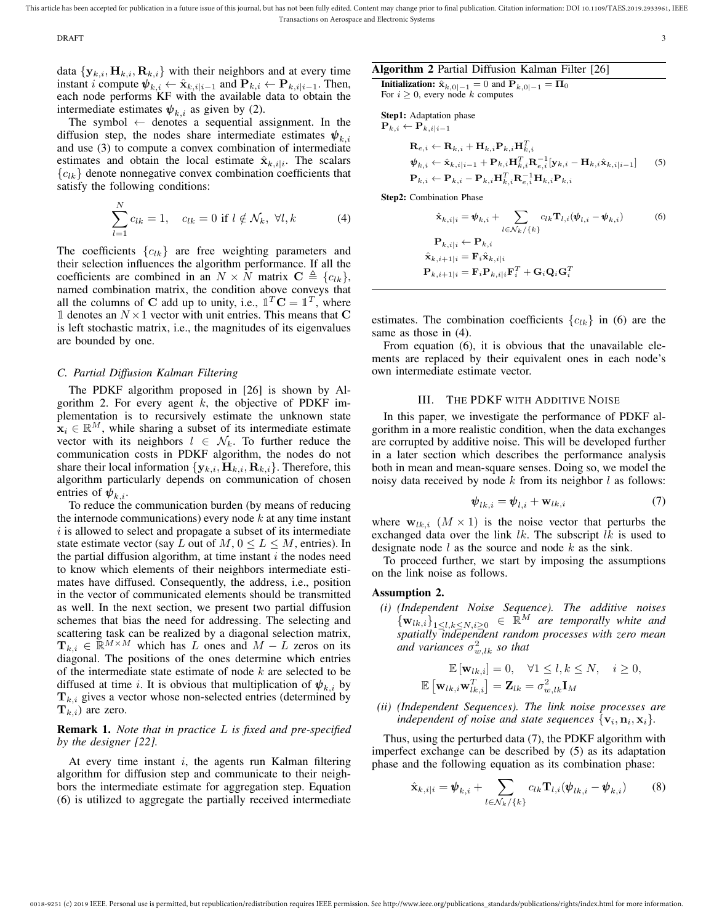$\Delta$ DRAFT  $\Delta$  3

data  $\{y_{k,i}, H_{k,i}, R_{k,i}\}\$  with their neighbors and at every time instant *i* compute  $\psi_{k,i} \leftarrow \hat{\mathbf{x}}_{k,i|i-1}$  and  $\mathbf{P}_{k,i} \leftarrow \mathbf{P}_{k,i|i-1}$ . Then, each node performs KF with the available data to obtain the intermediate estimates  $\psi_{k,i}$  as given by (2).

The symbol  $\leftarrow$  denotes a sequential assignment. In the diffusion step, the nodes share intermediate estimates  $\psi_{k,i}$ and use (3) to compute a convex combination of intermediate estimates and obtain the local estimate  $\hat{\mathbf{x}}_{k,i|i}$ . The scalars  ${c_{lk}}$  denote nonnegative convex combination coefficients that satisfy the following conditions:

$$
\sum_{l=1}^{N} c_{lk} = 1, \quad c_{lk} = 0 \text{ if } l \notin \mathcal{N}_k, \ \forall l, k \tag{4}
$$

The coefficients  ${c_{lk}}$  are free weighting parameters and their selection influences the algorithm performance. If all the coefficients are combined in an  $N \times N$  matrix  $\mathbf{C} \triangleq \{c_{lk}\},\$ named combination matrix, the condition above conveys that all the columns of C add up to unity, i.e.,  $\mathbb{1}^T \mathbf{C} = \mathbb{1}^T$ , where 1 denotes an  $N \times 1$  vector with unit entries. This means that C is left stochastic matrix, i.e., the magnitudes of its eigenvalues are bounded by one.

## *C. Partial Diffusion Kalman Filtering*

The PDKF algorithm proposed in [26] is shown by Algorithm 2. For every agent  $k$ , the objective of PDKF implementation is to recursively estimate the unknown state  $x_i \in \mathbb{R}^M$ , while sharing a subset of its intermediate estimate vector with its neighbors  $l \in \mathcal{N}_k$ . To further reduce the communication costs in PDKF algorithm, the nodes do not share their local information  $\{y_{k,i}, H_{k,i}, R_{k,i}\}$ . Therefore, this algorithm particularly depends on communication of chosen entries of  $\psi_{k,i}$ .

To reduce the communication burden (by means of reducing the internode communications) every node  $k$  at any time instant  $i$  is allowed to select and propagate a subset of its intermediate state estimate vector (say L out of  $M, 0 \leq L \leq M$ , entries). In the partial diffusion algorithm, at time instant  $i$  the nodes need to know which elements of their neighbors intermediate estimates have diffused. Consequently, the address, i.e., position in the vector of communicated elements should be transmitted as well. In the next section, we present two partial diffusion schemes that bias the need for addressing. The selecting and scattering task can be realized by a diagonal selection matrix,  $\mathbf{T}_{k,i} \in \mathbb{R}^{M \times M}$  which has L ones and  $M - L$  zeros on its diagonal. The positions of the ones determine which entries of the intermediate state estimate of node  $k$  are selected to be diffused at time i. It is obvious that multiplication of  $\psi_{k,i}$  by  $T_{k,i}$  gives a vector whose non-selected entries (determined by  $T_{k,i}$ ) are zero.

# Remark 1. *Note that in practice* L *is fixed and pre-specified by the designer [22].*

At every time instant  $i$ , the agents run Kalman filtering algorithm for diffusion step and communicate to their neighbors the intermediate estimate for aggregation step. Equation (6) is utilized to aggregate the partially received intermediate

# Algorithm 2 Partial Diffusion Kalman Filter [26]

**Initialization:**  $\hat{\mathbf{x}}_{k,0|-1} = 0$  and  $\mathbf{P}_{k,0|-1} = \Pi_0$ For  $i \geq 0$ , every node k computes

Step1: Adaptation phase  $\mathbf{P}_{k,i} \leftarrow \mathbf{P}_{k,i|i-1}$ 

$$
\mathbf{R}_{e,i} \leftarrow \mathbf{R}_{k,i} + \mathbf{H}_{k,i} \mathbf{P}_{k,i} \mathbf{H}_{k,i}^T \n\boldsymbol{\psi}_{k,i} \leftarrow \hat{\mathbf{x}}_{k,i|i-1} + \mathbf{P}_{k,i} \mathbf{H}_{k,i}^T \mathbf{R}_{e,i}^{-1} [\mathbf{y}_{k,i} - \mathbf{H}_{k,i} \hat{\mathbf{x}}_{k,i|i-1}] \tag{5}
$$
\n
$$
\mathbf{P}_{k,i} \leftarrow \mathbf{P}_{k,i} - \mathbf{P}_{k,i} \mathbf{H}_{k,i}^T \mathbf{R}_{e,i}^{-1} \mathbf{H}_{k,i} \mathbf{P}_{k,i}
$$

Step2: Combination Phase

$$
\hat{\mathbf{x}}_{k,i|i} = \boldsymbol{\psi}_{k,i} + \sum_{l \in \mathcal{N}_k / \{k\}} c_{lk} \mathbf{T}_{l,i}(\boldsymbol{\psi}_{l,i} - \boldsymbol{\psi}_{k,i})
$$
(6)  

$$
\mathbf{P}_{k,i|i} \leftarrow \mathbf{P}_{k,i}
$$
  

$$
\hat{\mathbf{x}}_{k,i+1|i} = \mathbf{F}_i \hat{\mathbf{x}}_{k,i|i}
$$
  

$$
\mathbf{P}_{k,i+1|i} = \mathbf{F}_i \mathbf{P}_{k,i|i} \mathbf{F}_i^T + \mathbf{G}_i \mathbf{Q}_i \mathbf{G}_i^T
$$

estimates. The combination coefficients  ${c_{lk}}$  in (6) are the same as those in (4).

From equation (6), it is obvious that the unavailable elements are replaced by their equivalent ones in each node's own intermediate estimate vector.

## III. THE PDKF WITH ADDITIVE NOISE

In this paper, we investigate the performance of PDKF algorithm in a more realistic condition, when the data exchanges are corrupted by additive noise. This will be developed further in a later section which describes the performance analysis both in mean and mean-square senses. Doing so, we model the noisy data received by node  $k$  from its neighbor  $l$  as follows:

$$
\mathbf{\psi}_{lk,i} = \mathbf{\psi}_{l,i} + \mathbf{w}_{lk,i} \tag{7}
$$

where  $w_{lk,i}$   $(M \times 1)$  is the noise vector that perturbs the exchanged data over the link  $lk$ . The subscript  $lk$  is used to designate node  $l$  as the source and node  $k$  as the sink.

To proceed further, we start by imposing the assumptions on the link noise as follows.

## Assumption 2.

*(i) (Independent Noise Sequence). The additive noises*  $\{ {\bf w}_{lk,i} \}_{1 \leq l,k \leq N, i \geq 0} \in \mathbb{R}^M$  are temporally white and *spatially independent random processes with zero mean* and variances  $\sigma_{w, lk}^2$  so that

$$
\mathbb{E}[\mathbf{w}_{lk,i}] = 0, \quad \forall 1 \le l, k \le N, \quad i \ge 0,
$$
  

$$
\mathbb{E}[\mathbf{w}_{lk,i}\mathbf{w}_{lk,i}^T] = \mathbf{Z}_{lk} = \sigma_{w,lk}^2 \mathbf{I}_M
$$

*(ii) (Independent Sequences). The link noise processes are* independent of noise and state sequences  $\{v_i, n_i, x_i\}$ .

Thus, using the perturbed data (7), the PDKF algorithm with imperfect exchange can be described by (5) as its adaptation phase and the following equation as its combination phase:

$$
\hat{\mathbf{x}}_{k,i|i} = \boldsymbol{\psi}_{k,i} + \sum_{l \in \mathcal{N}_k / \{k\}} c_{lk} \mathbf{T}_{l,i} (\boldsymbol{\psi}_{lk,i} - \boldsymbol{\psi}_{k,i}) \tag{8}
$$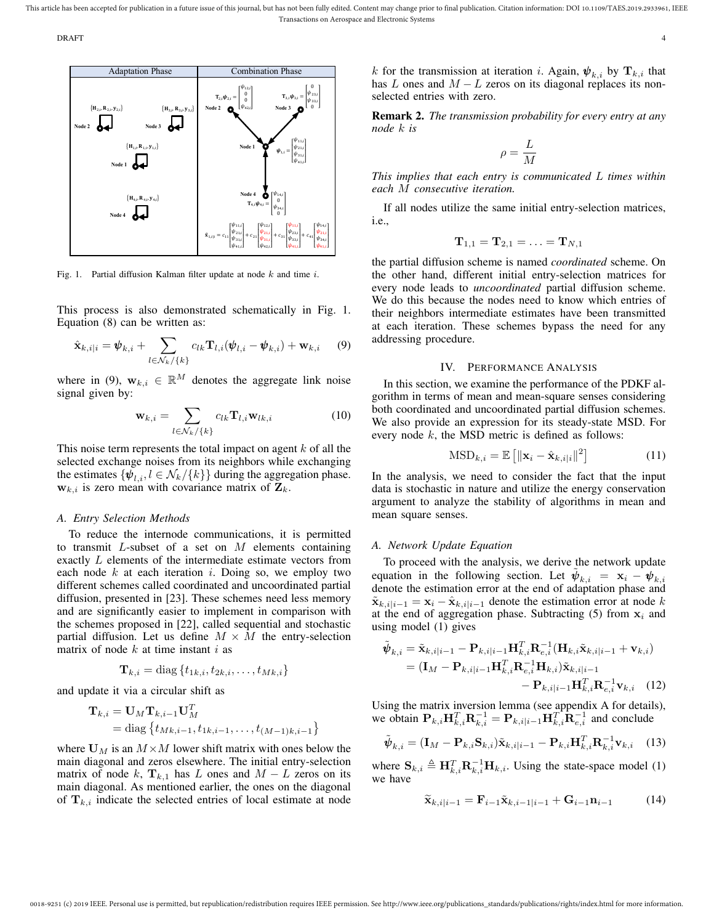DRAFT 4



Fig. 1. Partial diffusion Kalman filter update at node  $k$  and time  $i$ .

This process is also demonstrated schematically in Fig. 1. Equation (8) can be written as:

$$
\hat{\mathbf{x}}_{k,i|i} = \boldsymbol{\psi}_{k,i} + \sum_{l \in \mathcal{N}_k / \{k\}} c_{lk} \mathbf{T}_{l,i}(\boldsymbol{\psi}_{l,i} - \boldsymbol{\psi}_{k,i}) + \mathbf{w}_{k,i} \qquad (9)
$$

where in (9),  $\mathbf{w}_{k,i} \in \mathbb{R}^M$  denotes the aggregate link noise signal given by:

$$
\mathbf{w}_{k,i} = \sum_{l \in \mathcal{N}_k / \{k\}} c_{lk} \mathbf{T}_{l,i} \mathbf{w}_{lk,i}
$$
(10)

This noise term represents the total impact on agent  $k$  of all the selected exchange noises from its neighbors while exchanging the estimates  $\{\psi_{l,i}, l \in \mathcal{N}_k/\{k\}\}\$  during the aggregation phase.  $w_{k,i}$  is zero mean with covariance matrix of  $Z_k$ .

# *A. Entry Selection Methods*

To reduce the internode communications, it is permitted to transmit  $L$ -subset of a set on  $M$  elements containing exactly L elements of the intermediate estimate vectors from each node  $k$  at each iteration  $i$ . Doing so, we employ two different schemes called coordinated and uncoordinated partial diffusion, presented in [23]. These schemes need less memory and are significantly easier to implement in comparison with the schemes proposed in [22], called sequential and stochastic partial diffusion. Let us define  $M \times M$  the entry-selection matrix of node  $k$  at time instant  $i$  as

$$
\mathbf{T}_{k,i} = \text{diag}\left\{t_{1k,i}, t_{2k,i}, \ldots, t_{Mk,i}\right\}
$$

and update it via a circular shift as

$$
\mathbf{T}_{k,i} = \mathbf{U}_M \mathbf{T}_{k,i-1} \mathbf{U}_M^T
$$
  
= diag {t\_{Mk,i-1}, t\_{1k,i-1}, \dots, t\_{(M-1)k,i-1}}

where  $U_M$  is an  $M \times M$  lower shift matrix with ones below the main diagonal and zeros elsewhere. The initial entry-selection matrix of node k,  $\mathbf{T}_{k,1}$  has L ones and  $M - L$  zeros on its main diagonal. As mentioned earlier, the ones on the diagonal of  $T_{k,i}$  indicate the selected entries of local estimate at node k for the transmission at iteration i. Again,  $\psi_{k,i}$  by  $\mathbf{T}_{k,i}$  that has L ones and  $M - L$  zeros on its diagonal replaces its nonselected entries with zero.

Remark 2. *The transmission probability for every entry at any node* k *is*

$$
\rho = \frac{L}{M}
$$

*This implies that each entry is communicated* L *times within each* M *consecutive iteration.*

If all nodes utilize the same initial entry-selection matrices, i.e.,

$$
\mathbf{T}_{1,1}=\mathbf{T}_{2,1}=\ldots=\mathbf{T}_{N,1}
$$

the partial diffusion scheme is named *coordinated* scheme. On the other hand, different initial entry-selection matrices for every node leads to *uncoordinated* partial diffusion scheme. We do this because the nodes need to know which entries of their neighbors intermediate estimates have been transmitted at each iteration. These schemes bypass the need for any addressing procedure.

# IV. PERFORMANCE ANALYSIS

In this section, we examine the performance of the PDKF algorithm in terms of mean and mean-square senses considering both coordinated and uncoordinated partial diffusion schemes. We also provide an expression for its steady-state MSD. For every node  $k$ , the MSD metric is defined as follows:

$$
\text{MSD}_{k,i} = \mathbb{E}\left[\|\mathbf{x}_i - \hat{\mathbf{x}}_{k,i|i}\|^2\right] \tag{11}
$$

In the analysis, we need to consider the fact that the input data is stochastic in nature and utilize the energy conservation argument to analyze the stability of algorithms in mean and mean square senses.

## *A. Network Update Equation*

To proceed with the analysis, we derive the network update equation in the following section. Let  $\tilde{\psi}_{k,i} = \mathbf{x}_i - \psi_{k,i}$ denote the estimation error at the end of adaptation phase and  $\tilde{\mathbf{x}}_{k,i|i-1} = \mathbf{x}_i - \hat{\mathbf{x}}_{k,i|i-1}$  denote the estimation error at node k at the end of aggregation phase. Subtracting  $(5)$  from  $x_i$  and using model (1) gives

$$
\tilde{\Psi}_{k,i} = \tilde{\mathbf{x}}_{k,i|i-1} - \mathbf{P}_{k,i|i-1} \mathbf{H}_{k,i}^T \mathbf{R}_{e,i}^{-1} (\mathbf{H}_{k,i} \tilde{\mathbf{x}}_{k,i|i-1} + \mathbf{v}_{k,i}) \n= (\mathbf{I}_M - \mathbf{P}_{k,i|i-1} \mathbf{H}_{k,i}^T \mathbf{R}_{e,i}^{-1} \mathbf{H}_{k,i}) \tilde{\mathbf{x}}_{k,i|i-1} \n- \mathbf{P}_{k,i|i-1} \mathbf{H}_{k,i}^T \mathbf{R}_{e,i}^{-1} \mathbf{v}_{k,i}
$$
\n(12)

Using the matrix inversion lemma (see appendix A for details), we obtain  $\mathbf{P}_{k,i} \mathbf{H}_{k,i}^T \mathbf{R}_{k,i}^{-1} = \mathbf{P}_{k,i|i-1} \mathbf{H}_{k,i}^T \mathbf{R}_{e,i}^{-1}$  and conclude

$$
\tilde{\boldsymbol{\psi}}_{k,i} = (\mathbf{I}_M - \mathbf{P}_{k,i} \mathbf{S}_{k,i}) \tilde{\mathbf{x}}_{k,i|i-1} - \mathbf{P}_{k,i} \mathbf{H}_{k,i}^T \mathbf{R}_{k,i}^{-1} \mathbf{v}_{k,i} \quad (13)
$$

where  $\mathbf{S}_{k,i} \triangleq \mathbf{H}_{k,i}^T \mathbf{R}_{k,i}^{-1} \mathbf{H}_{k,i}$ . Using the state-space model (1) we have

$$
\widetilde{\mathbf{x}}_{k,i|i-1} = \mathbf{F}_{i-1}\widetilde{\mathbf{x}}_{k,i-1|i-1} + \mathbf{G}_{i-1}\mathbf{n}_{i-1} \tag{14}
$$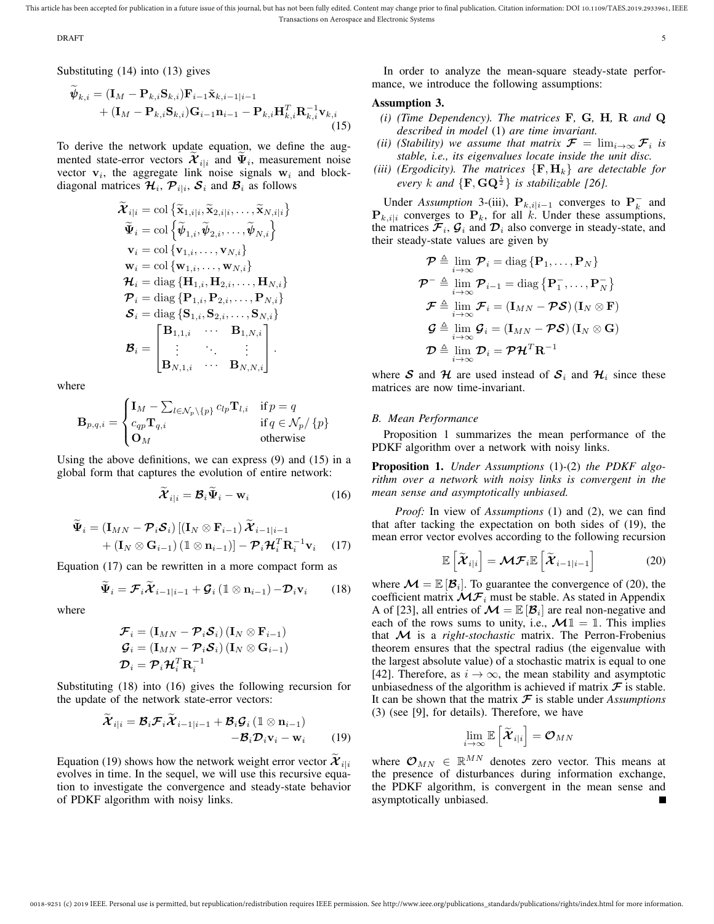order that the contract of the contract of the contract of the contract of the contract of the contract of the contract of the contract of the contract of the contract of the contract of the contract of the contract of the

Substituting (14) into (13) gives

$$
\widetilde{\psi}_{k,i} = (\mathbf{I}_M - \mathbf{P}_{k,i} \mathbf{S}_{k,i}) \mathbf{F}_{i-1} \widetilde{\mathbf{x}}_{k,i-1|i-1} \n+ (\mathbf{I}_M - \mathbf{P}_{k,i} \mathbf{S}_{k,i}) \mathbf{G}_{i-1} \mathbf{n}_{i-1} - \mathbf{P}_{k,i} \mathbf{H}_{k,i}^T \mathbf{R}_{k,i}^{-1} \mathbf{v}_{k,i}
$$
\n(15)

To derive the network update equation, we define the augmented state-error vectors  $\mathcal{X}_{i|i}$  and  $\Psi_i$ , measurement noise vector  $v_i$ , the aggregate link noise signals  $w_i$  and blockdiagonal matrices  $\mathcal{H}_i$ ,  $\mathcal{P}_{i|i}$ ,  $\mathcal{S}_i$  and  $\mathcal{B}_i$  as follows

$$
\widetilde{\mathbf{\mathcal{X}}}_{i|i} = \text{col}\left\{\widetilde{\mathbf{x}}_{1,i|i}, \widetilde{\mathbf{x}}_{2,i|i}, \ldots, \widetilde{\mathbf{x}}_{N,i|i}\right\} \n\widetilde{\Psi}_i = \text{col}\left\{\widetilde{\boldsymbol{\psi}}_{1,i}, \widetilde{\boldsymbol{\psi}}_{2,i}, \ldots, \widetilde{\boldsymbol{\psi}}_{N,i}\right\} \n\mathbf{v}_i = \text{col}\left\{\mathbf{v}_{1,i}, \ldots, \mathbf{v}_{N,i}\right\} \n\mathbf{w}_i = \text{col}\left\{\mathbf{w}_{1,i}, \ldots, \mathbf{w}_{N,i}\right\} \n\mathbf{\mathcal{H}}_i = \text{diag}\left\{\mathbf{H}_{1,i}, \mathbf{H}_{2,i}, \ldots, \mathbf{H}_{N,i}\right\} \n\mathbf{\mathcal{P}}_i = \text{diag}\left\{\mathbf{P}_{1,i}, \mathbf{P}_{2,i}, \ldots, \mathbf{P}_{N,i}\right\} \n\mathbf{\mathcal{S}}_i = \text{diag}\left\{\mathbf{S}_{1,i}, \mathbf{S}_{2,i}, \ldots, \mathbf{S}_{N,i}\right\} \n\mathbf{\mathcal{B}}_i = \begin{bmatrix} \mathbf{B}_{1,1,i} & \cdots & \mathbf{B}_{1,N,i} \\ \vdots & \ddots & \vdots \\ \mathbf{B}_{N,1,i} & \cdots & \mathbf{B}_{N,N,i} \end{bmatrix}.
$$

where

$$
\mathbf{B}_{p,q,i} = \begin{cases} \mathbf{I}_M - \sum_{l \in \mathcal{N}_p \setminus \{p\}} c_{lp} \mathbf{T}_{l,i} & \text{if } p = q \\ c_{qp} \mathbf{T}_{q,i} & \text{if } q \in \mathcal{N}_p / \{p\} \\ \mathbf{O}_M & \text{otherwise} \end{cases}
$$

Using the above definitions, we can express (9) and (15) in a global form that captures the evolution of entire network:

$$
\widetilde{\mathbf{\mathcal{X}}}_{i|i} = \mathbf{\mathcal{B}}_i \widetilde{\mathbf{\Psi}}_i - \mathbf{w}_i \tag{16}
$$

$$
\tilde{\Psi}_{i} = (\mathbf{I}_{MN} - \mathcal{P}_{i} \mathcal{S}_{i}) [(\mathbf{I}_{N} \otimes \mathbf{F}_{i-1}) \tilde{\mathcal{X}}_{i-1|i-1} \n+ (\mathbf{I}_{N} \otimes \mathbf{G}_{i-1}) (\mathbb{1} \otimes \mathbf{n}_{i-1})] - \mathcal{P}_{i} \mathcal{H}_{i}^{T} \mathbf{R}_{i}^{-1} \mathbf{v}_{i} \quad (17)
$$

Equation (17) can be rewritten in a more compact form as

$$
\widetilde{\Psi}_i = \mathcal{F}_i \widetilde{\mathcal{X}}_{i-1|i-1} + \mathcal{G}_i \left( \mathbb{1} \otimes \mathbf{n}_{i-1} \right) - \mathcal{D}_i \mathbf{v}_i \qquad (18)
$$

where

$$
\begin{aligned} \boldsymbol{\mathcal{F}}_{i} &= \left(\mathbf{I}_{MN} - \boldsymbol{\mathcal{P}}_{i} \boldsymbol{\mathcal{S}}_{i}\right) \left(\mathbf{I}_{N} \otimes \mathbf{F}_{i-1}\right) \\ \boldsymbol{\mathcal{G}}_{i} &= \left(\mathbf{I}_{MN} - \boldsymbol{\mathcal{P}}_{i} \boldsymbol{\mathcal{S}}_{i}\right) \left(\mathbf{I}_{N} \otimes \mathbf{G}_{i-1}\right) \\ \boldsymbol{\mathcal{D}}_{i} &= \boldsymbol{\mathcal{P}}_{i} \boldsymbol{\mathcal{H}}_{i}^{T} \mathbf{R}_{i}^{-1} \end{aligned}
$$

Substituting (18) into (16) gives the following recursion for the update of the network state-error vectors:

$$
\widetilde{\mathcal{X}}_{i|i} = \mathcal{B}_i \mathcal{F}_i \widetilde{\mathcal{X}}_{i-1|i-1} + \mathcal{B}_i \mathcal{G}_i (1 \otimes \mathbf{n}_{i-1}) -\mathcal{B}_i \mathcal{D}_i \mathbf{v}_i - \mathbf{w}_i
$$
\n(19)

Equation (19) shows how the network weight error vector  $\mathcal{X}_{i|i}$ evolves in time. In the sequel, we will use this recursive equation to investigate the convergence and steady-state behavior of PDKF algorithm with noisy links.

In order to analyze the mean-square steady-state performance, we introduce the following assumptions:

## Assumption 3.

- *(i) (Time Dependency). The matrices* F*,* G*,* H*,* R *and* Q *described in model* (1) *are time invariant.*
- *(ii)* (Stability) we assume that matrix  $\mathcal{F} = \lim_{i \to \infty} \mathcal{F}_i$  is *stable, i.e., its eigenvalues locate inside the unit disc.*
- *(iii) (Ergodicity). The matrices*  $\{F, H_k\}$  *are detectable for every* k and  $\{F, GQ^{\frac{1}{2}}\}$  *is stabilizable [26].*

Under *Assumption* 3-(iii),  $\mathbf{P}_{k,i|i-1}$  converges to  $\mathbf{P}_k^-$  and  ${\bf P}_{k,i|i}$  converges to  ${\bf P}_k$ , for all k. Under these assumptions, the matrices  $\mathcal{F}_i$ ,  $\mathcal{G}_i$  and  $\mathcal{D}_i$  also converge in steady-state, and their steady-state values are given by

$$
\mathcal{P} \triangleq \lim_{i \to \infty} \mathcal{P}_i = \text{diag} \left\{ \mathbf{P}_1, \dots, \mathbf{P}_N \right\}
$$
\n
$$
\mathcal{P}^{-} \triangleq \lim_{i \to \infty} \mathcal{P}_{i-1} = \text{diag} \left\{ \mathbf{P}_1^{-}, \dots, \mathbf{P}_N^{-} \right\}
$$
\n
$$
\mathcal{F} \triangleq \lim_{i \to \infty} \mathcal{F}_i = \left( \mathbf{I}_{MN} - \mathcal{PS} \right) \left( \mathbf{I}_N \otimes \mathbf{F} \right)
$$
\n
$$
\mathcal{G} \triangleq \lim_{i \to \infty} \mathcal{G}_i = \left( \mathbf{I}_{MN} - \mathcal{PS} \right) \left( \mathbf{I}_N \otimes \mathbf{G} \right)
$$
\n
$$
\mathcal{D} \triangleq \lim_{i \to \infty} \mathcal{D}_i = \mathcal{PH}^T \mathbf{R}^{-1}
$$

where S and H are used instead of  $S_i$  and  $H_i$  since these matrices are now time-invariant.

## *B. Mean Performance*

Proposition 1 summarizes the mean performance of the PDKF algorithm over a network with noisy links.

Proposition 1. *Under Assumptions* (1)*-*(2) *the PDKF algorithm over a network with noisy links is convergent in the mean sense and asymptotically unbiased.*

*Proof:* In view of *Assumptions* (1) and (2), we can find that after tacking the expectation on both sides of (19), the mean error vector evolves according to the following recursion

$$
\mathbb{E}\left[\widetilde{\mathcal{X}}_{i|i}\right] = \mathcal{MF}_{i}\mathbb{E}\left[\widetilde{\mathcal{X}}_{i-1|i-1}\right]
$$
 (20)

where  $\mathcal{M} = \mathbb{E} [\mathcal{B}_i]$ . To guarantee the convergence of (20), the coefficient matrix  $\mathcal{MF}_i$  must be stable. As stated in Appendix A of [23], all entries of  $\mathcal{M} = \mathbb{E} [\mathcal{B}_i]$  are real non-negative and each of the rows sums to unity, i.e.,  $\mathcal{M} \mathbb{1} = \mathbb{1}$ . This implies that M is a *right-stochastic* matrix. The Perron-Frobenius theorem ensures that the spectral radius (the eigenvalue with the largest absolute value) of a stochastic matrix is equal to one [42]. Therefore, as  $i \to \infty$ , the mean stability and asymptotic unbiasedness of the algorithm is achieved if matrix  $\mathcal F$  is stable. It can be shown that the matrix  $\mathcal F$  is stable under *Assumptions* (3) (see [9], for details). Therefore, we have

$$
\lim_{i\rightarrow\infty}\mathbb{E}\left[\widetilde{\boldsymbol{\mathcal{X}}}_{i|i}\right]=\boldsymbol{\mathcal{O}}_{MN}
$$

where  $\mathcal{O}_{MN} \in \mathbb{R}^{MN}$  denotes zero vector. This means at the presence of disturbances during information exchange, the PDKF algorithm, is convergent in the mean sense and asymptotically unbiased.П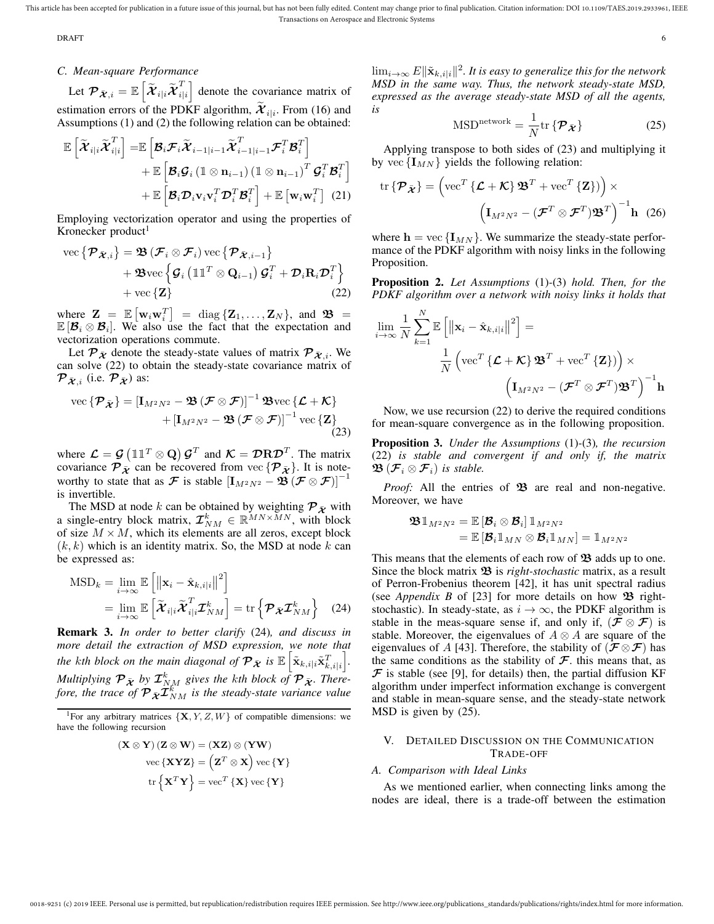#### DRAFT 6

# *C. Mean-square Performance*

Let  ${\cal P}_{\bar{\boldsymbol{\mathcal{X}}},i}=\mathbb{E}\left[\widetilde{\boldsymbol{\mathcal{X}}}_{i|i}\widetilde{\boldsymbol{\mathcal{X}}}_{i|}^T\right]$  $\begin{bmatrix} T \\ i|i \end{bmatrix}$  denote the covariance matrix of estimation errors of the PDKF algorithm,  $\mathcal{X}_{i|i}$ . From (16) and Assumptions (1) and (2) the following relation can be obtained:

$$
\mathbb{E}\left[\widetilde{\boldsymbol{\mathcal{X}}}_{i|i}\widetilde{\boldsymbol{\mathcal{X}}}_{i|i}^T\right] = \mathbb{E}\left[\boldsymbol{\mathcal{B}}_i\boldsymbol{\mathcal{F}}_i\widetilde{\boldsymbol{\mathcal{X}}}_{i-1|i-1}\widetilde{\boldsymbol{\mathcal{X}}}_{i-1|i-1}^T\boldsymbol{\mathcal{F}}_i^T\boldsymbol{\mathcal{B}}_i^T\right] + \mathbb{E}\left[\boldsymbol{\mathcal{B}}_i\boldsymbol{\mathcal{G}}_i\left(\mathbbm{1}\otimes\mathbf{n}_{i-1}\right)\left(\mathbbm{1}\otimes\mathbf{n}_{i-1}\right)^T\boldsymbol{\mathcal{G}}_i^T\boldsymbol{\mathcal{B}}_i^T\right] + \mathbb{E}\left[\boldsymbol{\mathcal{B}}_i\boldsymbol{\mathcal{D}}_i\mathbf{v}_i\mathbf{v}_i^T\boldsymbol{\mathcal{D}}_i^T\boldsymbol{\mathcal{B}}_i^T\right] + \mathbb{E}\left[\mathbf{w}_i\mathbf{w}_i^T\right] (21)
$$

Employing vectorization operator and using the properties of Kronecker product<sup>1</sup>

vec 
$$
\{\mathcal{P}_{\bar{\mathbf{X}},i}\} = \mathfrak{B}(\mathcal{F}_i \otimes \mathcal{F}_i) \text{ vec } \{\mathcal{P}_{\bar{\mathbf{X}},i-1}\}\
$$
  
+  $\mathfrak{B}\text{ vec }\{\mathcal{G}_i (\mathbb{1}\mathbb{1}^T \otimes \mathbf{Q}_{i-1}) \mathcal{G}_i^T + \mathcal{D}_i \mathbf{R}_i \mathcal{D}_i^T\}\$   
+ vec  $\{\mathbf{Z}\}$  (22)

where  $\mathbf{Z} = \mathbb{E} \left[ \mathbf{w}_i \mathbf{w}_i^T \right] = \text{diag} \left\{ \mathbf{Z}_1, \dots, \mathbf{Z}_N \right\}$ , and  $\mathbf{\mathfrak{B}} =$  $\mathbb{E}[\mathcal{B}_i \otimes \mathcal{B}_i]$ . We also use the fact that the expectation and vectorization operations commute.

Let  $\mathcal{P}_{\bar{\mathbf{X}}}$  denote the steady-state values of matrix  $\mathcal{P}_{\bar{\mathbf{X}},i}$ . We can solve (22) to obtain the steady-state covariance matrix of  $\mathcal{P}_{\bar{\mathcal{X}},i}$  (i.e.  $\mathcal{P}_{\bar{\mathcal{X}}}$ ) as:

vec 
$$
\{\mathcal{P}_{\bar{\mathcal{X}}}\} = [\mathbf{I}_{M^2 N^2} - \mathfrak{B}(\mathcal{F} \otimes \mathcal{F})]^{-1} \mathfrak{B} \text{vec } \{\mathcal{L} + \mathcal{K}\}\
$$
  
 
$$
+ [\mathbf{I}_{M^2 N^2} - \mathfrak{B}(\mathcal{F} \otimes \mathcal{F})]^{-1} \text{vec } \{\mathbf{Z}\}\
$$
(23)

where  $\mathcal{L} = \mathcal{G} (\mathbb{1} \mathbb{1}^T \otimes \mathbf{Q}) \mathcal{G}^T$  and  $\mathcal{K} = \mathcal{D} \mathbf{R} \mathcal{D}^T$ . The matrix covariance  $\mathcal{P}_{\bar{\mathcal{X}}}$  can be recovered from vec  $\{\mathcal{P}_{\bar{\mathcal{X}}}\}\.$  It is noteworthy to state that as F is stable  $[I_{M^2N^2} - \mathfrak{B}(\mathcal{F} \otimes \mathcal{F})]^{-1}$ is invertible.

The MSD at node k can be obtained by weighting  $P_{\bar{X}}$  with a single-entry block matrix,  $\mathcal{I}_{NM}^k \in \mathbb{R}^{MN \times MN}$ , with block of size  $M \times M$ , which its elements are all zeros, except block  $(k, k)$  which is an identity matrix. So, the MSD at node k can be expressed as:

$$
MSD_k = \lim_{i \to \infty} \mathbb{E} \left[ \left\| \mathbf{x}_i - \hat{\mathbf{x}}_{k,i|i} \right\|^2 \right]
$$
  
= 
$$
\lim_{i \to \infty} \mathbb{E} \left[ \tilde{\boldsymbol{\mathcal{X}}}_{i|i} \tilde{\boldsymbol{\mathcal{X}}}_{i|i}^T \boldsymbol{\mathcal{I}}_{NM}^k \right] = \text{tr} \left\{ \boldsymbol{\mathcal{P}}_{\bar{\boldsymbol{\mathcal{X}}}} \boldsymbol{\mathcal{I}}_{NM}^k \right\}
$$
 (24)

Remark 3. *In order to better clarify* (24)*, and discuss in more detail the extraction of MSD expression, we note that the kth block on the main diagonal of*  $\mathcal{P}_{\bar{\mathcal{X}}}$  *is*  $\mathbb{E} \left[ \tilde{\mathbf{x}}_{k,i|i} \tilde{\mathbf{x}}_{k,i|i}^T \right]$ . Multiplying  ${\cal P}_{\bar{\bm{\mathcal{X}}}}$  by  ${\mathcal{I}}_{NM}^k$  gives the kth block of  ${\cal P}_{\bar{\bm{\mathcal{X}}}}$ . Therefore, the trace of  $\mathcal{P}_{\bar{\mathcal{X}}} \mathcal{I}_{NM}^k$  is the steady-state variance value

$$
\begin{aligned} \left(\mathbf{X} \otimes \mathbf{Y}\right) \left(\mathbf{Z} \otimes \mathbf{W}\right) &= \left(\mathbf{XZ}\right) \otimes \left(\mathbf{YW}\right) \\ \text{vec}\left\{\mathbf{XYZ}\right\} &= \left(\mathbf{Z}^T \otimes \mathbf{X}\right) \text{vec}\left\{\mathbf{Y}\right\} \\ \text{tr}\left\{\mathbf{X}^T\mathbf{Y}\right\} &= \text{vec}^T\left\{\mathbf{X}\right\} \text{vec}\left\{\mathbf{Y}\right\} \end{aligned}
$$

 $\lim_{i\rightarrow\infty}E\|\tilde{\textbf{x}}_{k,i|i}\|^2.$  It is easy to generalize this for the network *MSD in the same way. Thus, the network steady-state MSD, expressed as the average steady-state MSD of all the agents, is*

$$
MSDnetwork = \frac{1}{N} tr \{ \mathcal{P}_{\bar{\mathcal{X}}} \}
$$
 (25)

Applying transpose to both sides of (23) and multiplying it by vec  $\{I_{MN}\}\$  yields the following relation:

$$
\operatorname{tr}\left\{ \mathcal{P}_{\bar{\mathbf{\mathcal{X}}}}\right\} = \left( \operatorname{vec}^T \left\{ \mathcal{L} + \mathcal{K} \right\} \mathbf{\mathfrak{B}}^T + \operatorname{vec}^T \left\{ \mathbf{Z} \right\} ) \right) \times \left( \mathbf{I}_{M^2 N^2} - (\mathcal{F}^T \otimes \mathcal{F}^T) \mathbf{\mathfrak{B}}^T \right)^{-1} \mathbf{h} \tag{26}
$$

where  $h = \text{vec} \left\{ I_{MN} \right\}$ . We summarize the steady-state performance of the PDKF algorithm with noisy links in the following Proposition.

Proposition 2. *Let Assumptions* (1)*-*(3) *hold. Then, for the PDKF algorithm over a network with noisy links it holds that*

$$
\lim_{i \to \infty} \frac{1}{N} \sum_{k=1}^{N} \mathbb{E} \left[ \left\| \mathbf{x}_{i} - \hat{\mathbf{x}}_{k, i | i} \right\|^{2} \right] =
$$
\n
$$
\frac{1}{N} \left( \text{vec}^{T} \left\{ \mathcal{L} + \mathcal{K} \right\} \mathbf{\mathfrak{B}}^{T} + \text{vec}^{T} \left\{ \mathbf{Z} \right\} \right) \right) \times
$$
\n
$$
\left( \mathbf{I}_{M^{2} N^{2}} - (\mathcal{F}^{T} \otimes \mathcal{F}^{T}) \mathbf{\mathfrak{B}}^{T} \right)^{-1} \mathbf{h}
$$

Now, we use recursion (22) to derive the required conditions for mean-square convergence as in the following proposition.

Proposition 3. *Under the Assumptions* (1)*-*(3)*, the recursion* (22) *is stable and convergent if and only if, the matrix*  $\mathfrak{B}\left(\mathcal{F}_{i}\otimes\mathcal{F}_{i}\right)$  *is stable.* 

*Proof:* All the entries of  $\mathfrak{B}$  are real and non-negative. Moreover, we have

$$
\begin{aligned} &\mathbf{\mathfrak{B}}\hspace{0.1em}\mathbb{1}_{M^2N^2}=\mathbb{E}\left[\mathcal{\mathcal{B}}_i\otimes\mathcal{\mathcal{B}}_i\right]\mathbb{1}_{M^2N^2} \\ &=\mathbb{E}\left[\mathcal{\mathcal{B}}_i\mathbb{1}_{MN}\otimes\mathcal{\mathcal{B}}_i\mathbb{1}_{MN}\right]=\mathbb{1}_{M^2N^2} \end{aligned}
$$

This means that the elements of each row of  $\mathfrak B$  adds up to one. Since the block matrix  $\mathfrak{B}$  is *right-stochastic* matrix, as a result of Perron-Frobenius theorem [42], it has unit spectral radius (see *Appendix B* of [23] for more details on how  $\mathfrak{B}$  rightstochastic). In steady-state, as  $i \rightarrow \infty$ , the PDKF algorithm is stable in the meas-square sense if, and only if,  $(\mathcal{F} \otimes \mathcal{F})$  is stable. Moreover, the eigenvalues of  $A \otimes A$  are square of the eigenvalues of A [43]. Therefore, the stability of  $(\mathcal{F} \otimes \mathcal{F})$  has the same conditions as the stability of  $\mathcal F$ . this means that, as  $\mathcal F$  is stable (see [9], for details) then, the partial diffusion KF algorithm under imperfect information exchange is convergent and stable in mean-square sense, and the steady-state network MSD is given by (25).

# V. DETAILED DISCUSSION ON THE COMMUNICATION TRADE-OFF

# *A. Comparison with Ideal Links*

As we mentioned earlier, when connecting links among the nodes are ideal, there is a trade-off between the estimation

<sup>&</sup>lt;sup>1</sup>For any arbitrary matrices  $\{X, Y, Z, W\}$  of compatible dimensions: we have the following recursion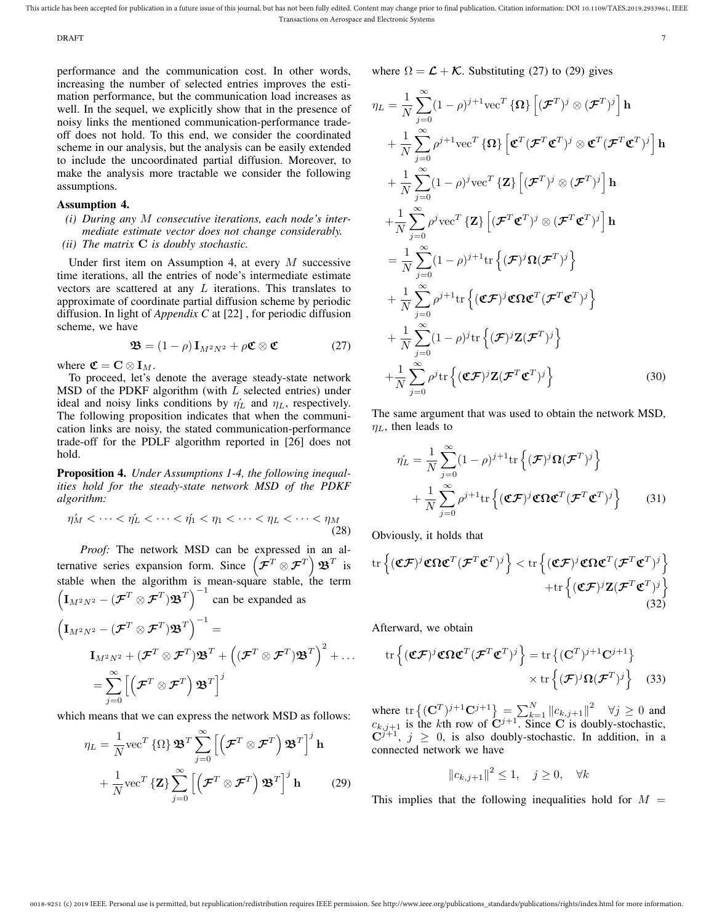$\Delta T$  DRAFT  $\sim$  7

performance and the communication cost. In other words, increasing the number of selected entries improves the estimation performance, but the communication load increases as well. In the sequel, we explicitly show that in the presence of noisy links the mentioned communication-performance tradeoff does not hold. To this end, we consider the coordinated scheme in our analysis, but the analysis can be easily extended to include the uncoordinated partial diffusion. Moreover, to make the analysis more tractable we consider the following assumptions.

# Assumption 4.

- *(i) During any* M *consecutive iterations, each node's intermediate estimate vector does not change considerably.*
- *(ii) The matrix* C *is doubly stochastic.*

Under first item on Assumption 4, at every  $M$  successive time iterations, all the entries of node's intermediate estimate vectors are scattered at any  $L$  iterations. This translates to approximate of coordinate partial diffusion scheme by periodic diffusion. In light of *Appendix C* at [22] , for periodic diffusion scheme, we have

$$
\mathbf{\mathfrak{B}} = (1 - \rho) \mathbf{I}_{M^2 N^2} + \rho \mathbf{\mathfrak{C}} \otimes \mathbf{\mathfrak{C}} \tag{27}
$$

where  $\mathfrak{C} = \mathbf{C} \otimes \mathbf{I}_M$ .

To proceed, let's denote the average steady-state network  $MSD$  of the PDKF algorithm (with  $L$  selected entries) under ideal and noisy links conditions by  $\eta'_L$  and  $\eta_L$ , respectively. The following proposition indicates that when the communication links are noisy, the stated communication-performance trade-off for the PDLF algorithm reported in [26] does not hold.

Proposition 4. *Under Assumptions 1-4, the following inequalities hold for the steady-state network MSD of the PDKF algorithm:*

$$
\eta'_M < \dots < \eta'_L < \dots < \eta'_1 < \eta_1 < \dots < \eta_L < \dots < \eta_M \tag{28}
$$

*Proof:* The network MSD can be expressed in an alternative series expansion form. Since  $(\bar{\mathcal{F}}^T \otimes \mathcal{F}^T) \mathfrak{B}^T$  is stable when the algorithm is mean-square stable, the term  $(I_{M^2N^2} - (\mathcal{F}^T \otimes \mathcal{F}^T) \mathfrak{B}^T)^{-1}$  can be expanded as

$$
\begin{aligned} \left(\mathbf{I}_{M^2N^2}-(\boldsymbol{\mathcal{F}}^T\otimes\boldsymbol{\mathcal{F}}^T)\mathbf{\mathfrak{B}}^T\right)^{-1} &= \\ \mathbf{I}_{M^2N^2}+(\boldsymbol{\mathcal{F}}^T\otimes\boldsymbol{\mathcal{F}}^T)\mathbf{\mathfrak{B}}^T+\left((\boldsymbol{\mathcal{F}}^T\otimes\boldsymbol{\mathcal{F}}^T)\mathbf{\mathfrak{B}}^T\right)^2+\ldots \\ &=\sum_{j=0}^\infty\left[\left(\boldsymbol{\mathcal{F}}^T\otimes\boldsymbol{\mathcal{F}}^T\right)\mathbf{\mathfrak{B}}^T\right]^j \end{aligned}
$$

which means that we can express the network MSD as follows:

$$
\eta_L = \frac{1}{N} \text{vec}^T \left\{ \Omega \right\} \mathbf{\mathfrak{B}}^T \sum_{j=0}^{\infty} \left[ \left( \mathbf{\mathcal{F}}^T \otimes \mathbf{\mathcal{F}}^T \right) \mathbf{\mathfrak{B}}^T \right]^j \mathbf{h} + \frac{1}{N} \text{vec}^T \left\{ \mathbf{Z} \right\} \sum_{j=0}^{\infty} \left[ \left( \mathbf{\mathcal{F}}^T \otimes \mathbf{\mathcal{F}}^T \right) \mathbf{\mathfrak{B}}^T \right]^j \mathbf{h}
$$
(29)

where  $\Omega = \mathcal{L} + \mathcal{K}$ . Substituting (27) to (29) gives

$$
\eta_{L} = \frac{1}{N} \sum_{j=0}^{\infty} (1 - \rho)^{j+1} \text{vec}^{T} \{\Omega\} \left[ (\mathcal{F}^{T})^{j} \otimes (\mathcal{F}^{T})^{j} \right] \mathbf{h} \n+ \frac{1}{N} \sum_{j=0}^{\infty} \rho^{j+1} \text{vec}^{T} \{\Omega\} \left[ \mathbf{C}^{T} (\mathcal{F}^{T} \mathbf{C}^{T})^{j} \otimes \mathbf{C}^{T} (\mathcal{F}^{T} \mathbf{C}^{T})^{j} \right] \mathbf{h} \n+ \frac{1}{N} \sum_{j=0}^{\infty} (1 - \rho)^{j} \text{vec}^{T} \{\mathbf{Z}\} \left[ (\mathcal{F}^{T})^{j} \otimes (\mathcal{F}^{T})^{j} \right] \mathbf{h} \n+ \frac{1}{N} \sum_{j=0}^{\infty} \rho^{j} \text{vec}^{T} \{\mathbf{Z}\} \left[ (\mathcal{F}^{T} \mathbf{C}^{T})^{j} \otimes (\mathcal{F}^{T} \mathbf{C}^{T})^{j} \right] \mathbf{h} \n= \frac{1}{N} \sum_{j=0}^{\infty} (1 - \rho)^{j+1} \text{tr} \{ (\mathcal{F})^{j} \Omega (\mathcal{F}^{T})^{j} \} \n+ \frac{1}{N} \sum_{j=0}^{\infty} \rho^{j+1} \text{tr} \{ (\mathbf{C} \mathcal{F})^{j} \mathbf{C} \Omega \mathbf{C}^{T} (\mathcal{F}^{T} \mathbf{C}^{T})^{j} \} \n+ \frac{1}{N} \sum_{j=0}^{\infty} (1 - \rho)^{j} \text{tr} \{ (\mathcal{F})^{j} \mathbf{Z} (\mathcal{F}^{T})^{j} \} \n+ \frac{1}{N} \sum_{j=0}^{\infty} \rho^{j} \text{tr} \{ (\mathbf{C} \mathcal{F})^{j} \mathbf{Z} (\mathcal{F}^{T} \mathbf{C}^{T})^{j} \}
$$
\n(30)

The same argument that was used to obtain the network MSD,  $\eta_L$ , then leads to

$$
\hat{\eta_L} = \frac{1}{N} \sum_{j=0}^{\infty} (1 - \rho)^{j+1} \text{tr} \left\{ (\mathcal{F})^j \Omega (\mathcal{F}^T)^j \right\} \n+ \frac{1}{N} \sum_{j=0}^{\infty} \rho^{j+1} \text{tr} \left\{ (\mathcal{C}\mathcal{F})^j \mathcal{C} \Omega \mathcal{C}^T (\mathcal{F}^T \mathcal{C}^T)^j \right\} \tag{31}
$$

Obviously, it holds that

$$
\operatorname{tr}\left\{(\mathfrak{C}\mathcal{F})^j\mathfrak{C}\Omega\mathfrak{C}^T(\mathcal{F}^T\mathfrak{C}^T)^j\right\} < \operatorname{tr}\left\{(\mathfrak{C}\mathcal{F})^j\mathfrak{C}\Omega\mathfrak{C}^T(\mathcal{F}^T\mathfrak{C}^T)^j\right\} + \operatorname{tr}\left\{(\mathfrak{C}\mathcal{F})^j\mathbf{Z}(\mathcal{F}^T\mathfrak{C}^T)^j\right\}
$$
\n(32)

Afterward, we obtain

$$
\operatorname{tr}\left\{(\mathfrak{C}\mathcal{F})^j\mathfrak{C}\Omega\mathfrak{C}^T(\mathcal{F}^T\mathfrak{C}^T)^j\right\} = \operatorname{tr}\left\{(\mathbf{C}^T)^{j+1}\mathbf{C}^{j+1}\right\} \times \operatorname{tr}\left\{(\mathcal{F})^j\Omega(\mathcal{F}^T)^j\right\}
$$
(33)

where  $\text{tr}\left\{ (\mathbf{C}^T)^{j+1}\mathbf{C}^{j+1} \right\} = \sum_{k=1}^N ||c_{k,j+1}||^2 \quad \forall j \ge 0$  and  $c_{k,j+1}$  is the kth row of  $\mathbb{C}^{j+1}$ . Since C is doubly-stochastic,  ${\bf C}^{j+1}$ ,  $j \geq 0$ , is also doubly-stochastic. In addition, in a connected network we have

$$
||c_{k,j+1}||^2 \le 1, \quad j \ge 0, \quad \forall k
$$

This implies that the following inequalities hold for  $M =$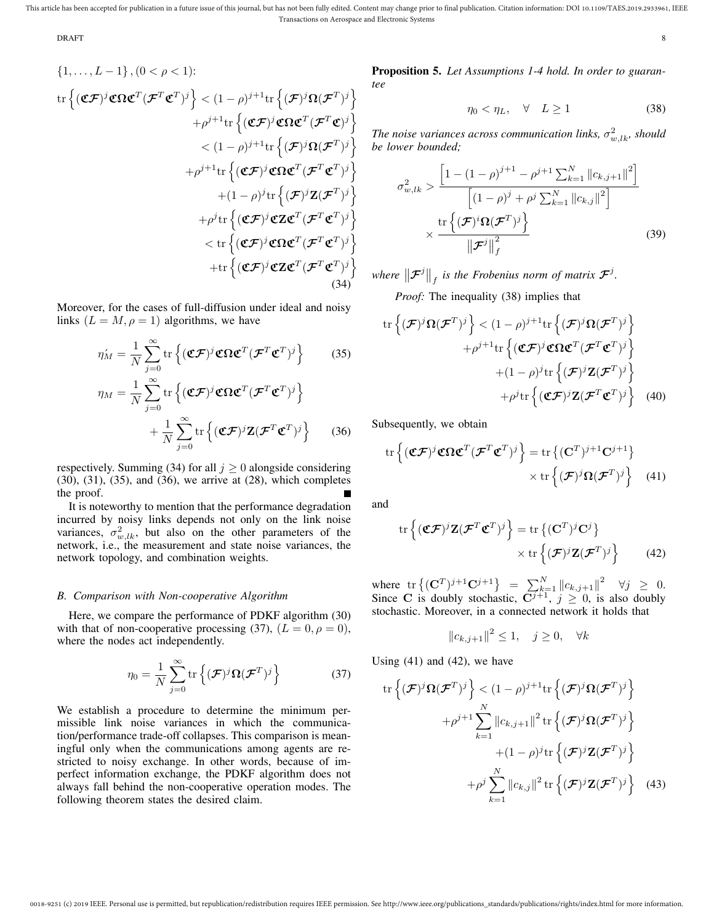$$
\begin{array}{c}\n\text{DRATT} \\
\text{ORATT}\n\end{array}
$$

$$
\{1, ..., L-1\}, (0 < \rho < 1):
$$
  
\n
$$
\text{tr}\left\{(\mathbf{C}\mathcal{F})^j \mathbf{C} \mathbf{\Omega} \mathbf{C}^T (\mathcal{F}^T \mathbf{C}^T)^j\right\} < (1-\rho)^{j+1} \text{tr}\left\{(\mathcal{F})^j \mathbf{\Omega} (\mathcal{F}^T)^j\right\}
$$
\n
$$
+\rho^{j+1} \text{tr}\left\{(\mathbf{C}\mathcal{F})^j \mathbf{C} \mathbf{\Omega} \mathbf{C}^T (\mathcal{F}^T \mathbf{C})^j\right\}
$$
\n
$$
< (1-\rho)^{j+1} \text{tr}\left\{(\mathcal{F})^j \mathbf{\Omega} (\mathcal{F}^T)^j\right\}
$$
\n
$$
+\rho^{j+1} \text{tr}\left\{(\mathbf{C}\mathcal{F})^j \mathbf{C} \mathbf{\Omega} \mathbf{C}^T (\mathcal{F}^T \mathbf{C}^T)^j\right\}
$$
\n
$$
+(1-\rho)^j \text{tr}\left\{(\mathcal{F})^j \mathbf{C} \mathbf{\Omega} \mathbf{C}^T (\mathcal{F}^T \mathbf{C}^T)^j\right\}
$$
\n
$$
+\rho^j \text{tr}\left\{(\mathbf{C}\mathcal{F})^j \mathbf{C} \mathbf{Z} \mathbf{C}^T (\mathcal{F}^T \mathbf{C}^T)^j\right\}
$$
\n
$$
< \text{tr}\left\{(\mathbf{C}\mathcal{F})^j \mathbf{C} \mathbf{\Omega} \mathbf{C}^T (\mathcal{F}^T \mathbf{C}^T)^j\right\}
$$
\n
$$
+ \text{tr}\left\{(\mathbf{C}\mathcal{F})^j \mathbf{C} \mathbf{\Omega} \mathbf{C}^T (\mathcal{F}^T \mathbf{C}^T)^j\right\}
$$
\n(34)

Moreover, for the cases of full-diffusion under ideal and noisy links  $(L = M, \rho = 1)$  algorithms, we have

$$
\eta'_{M} = \frac{1}{N} \sum_{j=0}^{\infty} \text{tr} \left\{ (\mathbf{C} \mathcal{F})^{j} \mathbf{C} \Omega \mathbf{C}^{T} (\mathcal{F}^{T} \mathbf{C}^{T})^{j} \right\} \qquad (35)
$$

$$
\eta_{M} = \frac{1}{N} \sum_{j=0}^{\infty} \text{tr} \left\{ (\mathbf{C} \mathcal{F})^{j} \mathbf{C} \Omega \mathbf{C}^{T} (\mathcal{F}^{T} \mathbf{C}^{T})^{j} \right\} + \frac{1}{N} \sum_{j=0}^{\infty} \text{tr} \left\{ (\mathbf{C} \mathcal{F})^{j} \mathbf{Z} (\mathcal{F}^{T} \mathbf{C}^{T})^{j} \right\} \qquad (36)
$$

respectively. Summing (34) for all  $j \ge 0$  alongside considering (30), (31), (35), and (36), we arrive at (28), which completes the proof.

It is noteworthy to mention that the performance degradation incurred by noisy links depends not only on the link noise variances,  $\sigma_{w,lk}^2$ , but also on the other parameters of the network, i.e., the measurement and state noise variances, the network topology, and combination weights.

# *B. Comparison with Non-cooperative Algorithm*

Here, we compare the performance of PDKF algorithm (30) with that of non-cooperative processing (37),  $(L = 0, \rho = 0)$ , where the nodes act independently.

$$
\eta_0 = \frac{1}{N} \sum_{j=0}^{\infty} \text{tr}\left\{ (\mathcal{F})^j \Omega (\mathcal{F}^T)^j \right\} \tag{37}
$$

We establish a procedure to determine the minimum permissible link noise variances in which the communication/performance trade-off collapses. This comparison is meaningful only when the communications among agents are restricted to noisy exchange. In other words, because of imperfect information exchange, the PDKF algorithm does not always fall behind the non-cooperative operation modes. The following theorem states the desired claim.

Proposition 5. *Let Assumptions 1-4 hold. In order to guarantee*

$$
\eta_0 < \eta_L, \quad \forall \quad L \ge 1 \tag{38}
$$

The noise variances across communication links,  $\sigma_{w,lk}^2$ , should *be lower bounded;*

$$
\sigma_{w,lk}^{2} > \frac{\left[1 - (1 - \rho)^{j+1} - \rho^{j+1} \sum_{k=1}^{N} ||c_{k,j+1}||^{2}\right]}{\left[(1 - \rho)^{j} + \rho^{j} \sum_{k=1}^{N} ||c_{k,j}||^{2}\right]}
$$

$$
\times \frac{\text{tr}\left\{(\mathcal{F})^{i}\Omega(\mathcal{F}^{T})^{j}\right\}}{\left\|\mathcal{F}^{j}\right\|_{f}^{2}}
$$
(39)

where  $\left\Vert \mathcal{F}^{j}\right\Vert _{f}$  is the Frobenius norm of matrix  $\mathcal{F}^{j}.$ 

*Proof:* The inequality (38) implies that

tr 
$$
\left\{ (\mathcal{F})^j \Omega (\mathcal{F}^T)^j \right\} < (1 - \rho)^{j+1} \text{tr} \left\{ (\mathcal{F})^j \Omega (\mathcal{F}^T)^j \right\}
$$
  
+  $\rho^{j+1} \text{tr} \left\{ (\mathfrak{C} \mathcal{F})^j \mathfrak{C} \Omega \mathfrak{C}^T (\mathcal{F}^T \mathfrak{C}^T)^j \right\}$   
+  $(1 - \rho)^j \text{tr} \left\{ (\mathcal{F})^j \mathbb{Z} (\mathcal{F}^T)^j \right\}$   
+  $\rho^j \text{tr} \left\{ (\mathfrak{C} \mathcal{F})^j \mathbb{Z} (\mathcal{F}^T \mathfrak{C}^T)^j \right\}$  (40)

Subsequently, we obtain

$$
\operatorname{tr}\left\{(\mathfrak{C}\mathcal{F})^j\mathfrak{C}\Omega\mathfrak{C}^T(\mathcal{F}^T\mathfrak{C}^T)^j\right\} = \operatorname{tr}\left\{(\mathbf{C}^T)^{j+1}\mathbf{C}^{j+1}\right\} \times \operatorname{tr}\left\{(\mathcal{F})^j\Omega(\mathcal{F}^T)^j\right\}
$$
(41)

and

$$
\operatorname{tr}\left\{(\mathbf{C}\mathcal{F})^j \mathbf{Z}(\mathcal{F}^T \mathbf{C}^T)^j\right\} = \operatorname{tr}\left\{(\mathbf{C}^T)^j \mathbf{C}^j\right\} \times \operatorname{tr}\left\{(\mathcal{F})^j \mathbf{Z}(\mathcal{F}^T)^j\right\}
$$
(42)

where  $\text{tr}\left\{ (\mathbf{C}^T)^{j+1}\mathbf{C}^{j+1} \right\} = \sum_{k=1}^N \|c_{k,j+1}\|^2 \quad \forall j \geq 0.$ Since C is doubly stochastic,  $C^{j+1}$ ,  $j \ge 0$ , is also doubly stochastic. Moreover, in a connected network it holds that

$$
||c_{k,j+1}||^2 \le 1, \quad j \ge 0, \quad \forall k
$$

Using (41) and (42), we have

$$
\operatorname{tr}\left\{ (\mathcal{F})^j \Omega (\mathcal{F}^T)^j \right\} < (1 - \rho)^{j+1} \operatorname{tr}\left\{ (\mathcal{F})^j \Omega (\mathcal{F}^T)^j \right\} + \rho^{j+1} \sum_{k=1}^N \|c_{k,j+1}\|^2 \operatorname{tr}\left\{ (\mathcal{F})^j \Omega (\mathcal{F}^T)^j \right\} + (1 - \rho)^j \operatorname{tr}\left\{ (\mathcal{F})^j \mathbf{Z} (\mathcal{F}^T)^j \right\} + \rho^j \sum_{k=1}^N \|c_{k,j}\|^2 \operatorname{tr}\left\{ (\mathcal{F})^j \mathbf{Z} (\mathcal{F}^T)^j \right\} \quad (43)
$$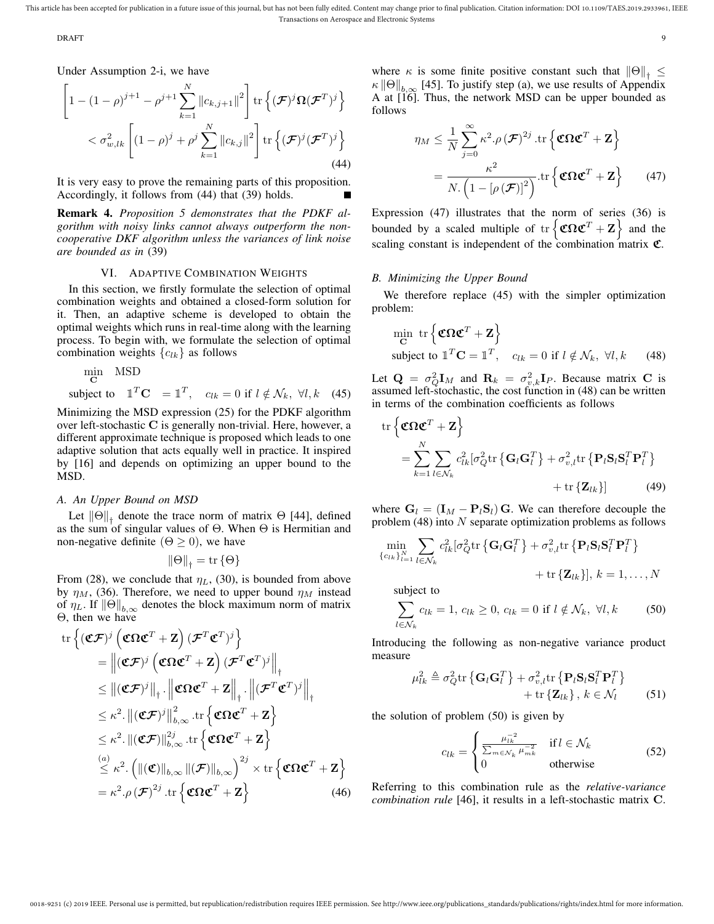extending the contract of the contract of the contract of the contract of the contract of the contract of the contract of the contract of the contract of the contract of the contract of the contract of the contract of the

Under Assumption 2-i, we have

$$
\left[1 - (1 - \rho)^{j+1} - \rho^{j+1} \sum_{k=1}^{N} ||c_{k,j+1}||^2 \right] \text{tr}\left\{ (\mathcal{F})^j \Omega (\mathcal{F}^T)^j \right\}
$$
  

$$
< \sigma_{w,lk}^2 \left[ (1 - \rho)^j + \rho^j \sum_{k=1}^{N} ||c_{k,j}||^2 \right] \text{tr}\left\{ (\mathcal{F})^j (\mathcal{F}^T)^j \right\}
$$
(44)

It is very easy to prove the remaining parts of this proposition. Accordingly, it follows from (44) that (39) holds.

Remark 4. *Proposition 5 demonstrates that the PDKF algorithm with noisy links cannot always outperform the noncooperative DKF algorithm unless the variances of link noise are bounded as in* (39)

## VI. ADAPTIVE COMBINATION WEIGHTS

In this section, we firstly formulate the selection of optimal combination weights and obtained a closed-form solution for it. Then, an adaptive scheme is developed to obtain the optimal weights which runs in real-time along with the learning process. To begin with, we formulate the selection of optimal combination weights  ${c_{lk}}$  as follows

$$
\begin{array}{ll}\n\text{min} & \text{MSD} \\
\text{c} & \text{if } l \notin \mathcal{N}_k, \ \forall l, k \quad (45)\n\end{array}
$$
\n
$$
\text{subject to} \quad \mathbb{1}^T \mathbf{C} = \mathbb{1}^T, \quad c_{lk} = 0 \text{ if } l \notin \mathcal{N}_k, \ \forall l, k \quad (45)
$$

Minimizing the MSD expression (25) for the PDKF algorithm over left-stochastic C is generally non-trivial. Here, however, a different approximate technique is proposed which leads to one adaptive solution that acts equally well in practice. It inspired by [16] and depends on optimizing an upper bound to the MSD.

# *A. An Upper Bound on MSD*

Let  $\|\Theta\|_{\dagger}$  denote the trace norm of matrix  $\Theta$  [44], defined as the sum of singular values of  $\Theta$ . When  $\Theta$  is Hermitian and non-negative definite  $(Θ > 0)$ , we have

$$
\|\Theta\|_{\dagger} = \operatorname{tr}\{\Theta\}
$$

From (28), we conclude that  $\eta_L$ , (30), is bounded from above by  $\eta_M$ , (36). Therefore, we need to upper bound  $\eta_M$  instead of  $\eta_L$ . If  $\|\Theta\|_{h,\infty}$  denotes the block maximum norm of matrix Θ, then we have

tr 
$$
\{ (\mathbf{C}\mathcal{F})^j \left( \mathbf{C}\Omega \mathbf{C}^T + \mathbf{Z} \right) (\mathcal{F}^T \mathbf{C}^T)^j \}
$$
  
\n
$$
= \| (\mathbf{C}\mathcal{F})^j \left( \mathbf{C}\Omega \mathbf{C}^T + \mathbf{Z} \right) (\mathcal{F}^T \mathbf{C}^T)^j \|_1
$$
\n
$$
\leq \| (\mathbf{C}\mathcal{F})^j \|_1 \cdot \| \mathbf{C}\Omega \mathbf{C}^T + \mathbf{Z} \|_1 \cdot \| (\mathcal{F}^T \mathbf{C}^T)^j \|_1
$$
\n
$$
\leq \kappa^2 \cdot \| (\mathbf{C}\mathcal{F})^j \|_{b,\infty}^2 \cdot \text{tr} \left\{ \mathbf{C}\Omega \mathbf{C}^T + \mathbf{Z} \right\}
$$
\n
$$
\leq \kappa^2 \cdot \| (\mathbf{C}\mathcal{F}) \|_{b,\infty}^{2j} \cdot \text{tr} \left\{ \mathbf{C}\Omega \mathbf{C}^T + \mathbf{Z} \right\}
$$
\n
$$
\stackrel{(a)}{\leq} \kappa^2 \cdot \left( \| (\mathbf{C}) \|_{b,\infty} \| (\mathbf{F}) \|_{b,\infty} \right)^{2j} \times \text{tr} \left\{ \mathbf{C}\Omega \mathbf{C}^T + \mathbf{Z} \right\}
$$
\n
$$
= \kappa^2 \cdot \rho (\mathbf{F})^{2j} \cdot \text{tr} \left\{ \mathbf{C}\Omega \mathbf{C}^T + \mathbf{Z} \right\} \tag{46}
$$

where  $\kappa$  is some finite positive constant such that  $||\Theta||_+ \leq$  $\kappa \|\Theta\|_{b,\infty}$  [45]. To justify step (a), we use results of Appendix A at [16]. Thus, the network MSD can be upper bounded as follows

$$
\eta_M \leq \frac{1}{N} \sum_{j=0}^{\infty} \kappa^2 . \rho (\mathcal{F})^{2j} . \text{tr} \left\{ \mathbf{C} \Omega \mathbf{C}^T + \mathbf{Z} \right\}
$$

$$
= \frac{\kappa^2}{N . \left( 1 - \left[ \rho (\mathcal{F}) \right]^2 \right)} . \text{tr} \left\{ \mathbf{C} \Omega \mathbf{C}^T + \mathbf{Z} \right\} \tag{47}
$$

Expression (47) illustrates that the norm of series (36) is bounded by a scaled multiple of  $tr \{ \mathbf{C} \Omega \mathbf{C}^T + \mathbf{Z} \}$  and the scaling constant is independent of the combination matrix  $\mathfrak{C}$ .

## *B. Minimizing the Upper Bound*

We therefore replace  $(45)$  with the simpler optimization problem:

$$
\begin{aligned}\n\min_{\mathbf{C}} \text{ tr} \left\{ \mathbf{\mathfrak{C}} \mathbf{\Omega} \mathbf{\mathfrak{C}}^T + \mathbf{Z} \right\} \\
\text{subject to } \mathbb{1}^T \mathbf{C} = \mathbb{1}^T, \quad c_{lk} = 0 \text{ if } l \notin \mathcal{N}_k, \ \forall l, k \qquad (48)\n\end{aligned}
$$

Let  $\mathbf{Q} = \sigma_Q^2 \mathbf{I}_M$  and  $\mathbf{R}_k = \sigma_{v,k}^2 \mathbf{I}_P$ . Because matrix C is assumed left-stochastic, the cost function in (48) can be written in terms of the combination coefficients as follows

$$
\text{tr}\left\{\mathbf{C}\mathbf{\Omega}\mathbf{C}^T + \mathbf{Z}\right\}
$$
\n
$$
= \sum_{k=1}^N \sum_{l \in \mathcal{N}_k} c_{lk}^2 [\sigma_Q^2 \text{tr}\left\{\mathbf{G}_l \mathbf{G}_l^T\right\} + \sigma_{v,l}^2 \text{tr}\left\{\mathbf{P}_l \mathbf{S}_l \mathbf{S}_l^T \mathbf{P}_l^T\right\} + \text{tr}\left\{\mathbf{Z}_{lk}\right\}] \tag{49}
$$

where  $G_l = (I_M - P_lS_l) G$ . We can therefore decouple the problem  $(48)$  into N separate optimization problems as follows

$$
\min_{\{c_{lk}\}_{l=1}^N} \sum_{l \in \mathcal{N}_k} c_{lk}^2 [\sigma_Q^2 \text{tr}\left\{\mathbf{G}_l \mathbf{G}_l^T\right\} + \sigma_{v,l}^2 \text{tr}\left\{\mathbf{P}_l \mathbf{S}_l \mathbf{S}_l^T \mathbf{P}_l^T\right\} + \text{tr}\left\{\mathbf{Z}_{lk}\right\}], k = 1, ..., N
$$

subject to

$$
\sum_{l \in \mathcal{N}_k} c_{lk} = 1, c_{lk} \ge 0, c_{lk} = 0 \text{ if } l \notin \mathcal{N}_k, \ \forall l, k \tag{50}
$$

Introducing the following as non-negative variance product measure

$$
\mu_{lk}^2 \triangleq \sigma_Q^2 \text{tr}\left\{ \mathbf{G}_l \mathbf{G}_l^T \right\} + \sigma_{v,l}^2 \text{tr}\left\{ \mathbf{P}_l \mathbf{S}_l \mathbf{S}_l^T \mathbf{P}_l^T \right\} + \text{tr}\left\{ \mathbf{Z}_{lk} \right\}, k \in \mathcal{N}_l \tag{51}
$$

the solution of problem (50) is given by

$$
c_{lk} = \begin{cases} \frac{\mu_{lk}^{-2}}{\sum_{m \in \mathcal{N}_k} \mu_{mk}^{-2}} & \text{if } l \in \mathcal{N}_k \\ 0 & \text{otherwise} \end{cases}
$$
(52)

Referring to this combination rule as the *relative-variance combination rule* [46], it results in a left-stochastic matrix C.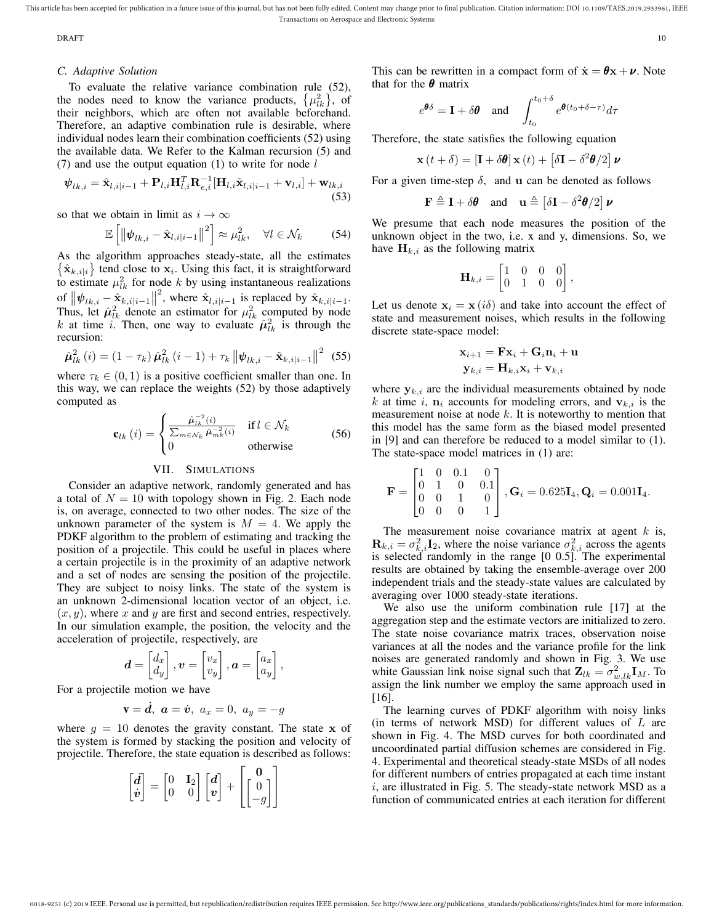DRAFT THE STREET REPORT OF THE STREET REPORT OF THE STREET REPORT OF THE STREET REPORT OF THE STREET REPORT OF THE STREET REPORT OF THE STREET REPORT OF THE STREET REPORT OF THE STREET REPORT OF THE STREET REPORT OF THE ST

# *C. Adaptive Solution*

To evaluate the relative variance combination rule (52), the nodes need to know the variance products,  $\{\mu_{lk}^2\}$ , of their neighbors, which are often not available beforehand. Therefore, an adaptive combination rule is desirable, where individual nodes learn their combination coefficients (52) using the available data. We Refer to the Kalman recursion (5) and (7) and use the output equation (1) to write for node  $l$ 

$$
\mathbf{\psi}_{lk,i} = \hat{\mathbf{x}}_{l,i|i-1} + \mathbf{P}_{l,i} \mathbf{H}_{l,i}^T \mathbf{R}_{e,i}^{-1} [\mathbf{H}_{l,i} \tilde{\mathbf{x}}_{l,i|i-1} + \mathbf{v}_{l,i}] + \mathbf{w}_{lk,i}
$$
\n(53)

so that we obtain in limit as  $i \to \infty$ 

$$
\mathbb{E}\left[\left\|\psi_{lk,i}-\hat{\mathbf{x}}_{l,i|i-1}\right\|^2\right] \approx \mu_{lk}^2, \quad \forall l \in \mathcal{N}_k \tag{54}
$$

As the algorithm approaches steady-state, all the estimates  $\{\hat{\mathbf{x}}_{k,i|i}\}\$  tend close to  $\mathbf{x}_i$ . Using this fact, it is straightforward to estimate  $\mu_{lk}^2$  for node k by using instantaneous realizations of  $\|\psi_{lk,i} - \hat{\mathbf{x}}_{k,i|i-1}\|$ <sup>2</sup>, where  $\hat{\mathbf{x}}_{l,i|i-1}$  is replaced by  $\hat{\mathbf{x}}_{k,i|i-1}$ . Thus, let  $\hat{\mu}_{lk}^2$  denote an estimator for  $\mu_{lk}^2$  computed by node k at time i. Then, one way to evaluate  $\hat{\mu}_{lk}^2$  is through the recursion:

$$
\hat{\mu}_{lk}^{2}(i) = (1 - \tau_{k}) \hat{\mu}_{lk}^{2}(i - 1) + \tau_{k} ||\psi_{lk,i} - \hat{\mathbf{x}}_{k,i|i-1}||^{2} \tag{55}
$$

where  $\tau_k \in (0, 1)$  is a positive coefficient smaller than one. In this way, we can replace the weights (52) by those adaptively computed as

$$
\mathbf{c}_{lk}(i) = \begin{cases} \frac{\hat{\boldsymbol{\mu}}_{lk}^{-2}(i)}{\sum_{m \in \mathcal{N}_k} \hat{\boldsymbol{\mu}}_{mk}^{-2}(i)} & \text{if } l \in \mathcal{N}_k \\ 0 & \text{otherwise} \end{cases}
$$
(56)

## VII. SIMULATIONS

Consider an adaptive network, randomly generated and has a total of  $N = 10$  with topology shown in Fig. 2. Each node is, on average, connected to two other nodes. The size of the unknown parameter of the system is  $M = 4$ . We apply the PDKF algorithm to the problem of estimating and tracking the position of a projectile. This could be useful in places where a certain projectile is in the proximity of an adaptive network and a set of nodes are sensing the position of the projectile. They are subject to noisy links. The state of the system is an unknown 2-dimensional location vector of an object, i.e.  $(x, y)$ , where x and y are first and second entries, respectively. In our simulation example, the position, the velocity and the acceleration of projectile, respectively, are

$$
\boldsymbol{d} = \begin{bmatrix} d_x \\ d_y \end{bmatrix}, \boldsymbol{v} = \begin{bmatrix} v_x \\ v_y \end{bmatrix}, \boldsymbol{a} = \begin{bmatrix} a_x \\ a_y \end{bmatrix}
$$

,

For a projectile motion we have

$$
\mathbf{v} = \dot{\boldsymbol{d}}, \ \boldsymbol{a} = \dot{\boldsymbol{v}}, \ a_x = 0, \ a_y = -g
$$

where  $g = 10$  denotes the gravity constant. The state x of the system is formed by stacking the position and velocity of projectile. Therefore, the state equation is described as follows:

|  |  | $\begin{bmatrix} \boldsymbol{d} \\ \boldsymbol{v} \end{bmatrix} = \begin{bmatrix} 0 & \mathbf{I}_2 \\ 0 & 0 \end{bmatrix} \begin{bmatrix} \boldsymbol{d} \\ \boldsymbol{v} \end{bmatrix} + \begin{bmatrix} \mathbf{0} \\ \begin{bmatrix} 0 \\ -g \end{bmatrix} \end{bmatrix}$ |
|--|--|-------------------------------------------------------------------------------------------------------------------------------------------------------------------------------------------------------------------------------------------------------------------------------|
|  |  |                                                                                                                                                                                                                                                                               |

0018-9251 (c) 2019 IEEE. Personal use is permitted, but republication/redistribution requires IEEE permission. See http://www.ieee.org/publications\_standards/publications/rights/index.html for more information.

This can be rewritten in a compact form of  $\dot{\mathbf{x}} = \boldsymbol{\theta} \mathbf{x} + \boldsymbol{\nu}$ . Note that for the  $\theta$  matrix

$$
e^{\theta \delta} = \mathbf{I} + \delta \theta
$$
 and  $\int_{t_0}^{t_0 + \delta} e^{\theta (t_0 + \delta - \tau)} d\tau$ 

Therefore, the state satisfies the following equation

$$
\mathbf{x}(t+\delta) = \left[\mathbf{I} + \delta\boldsymbol{\theta}\right]\mathbf{x}(t) + \left[\delta\mathbf{I} - \delta^2\boldsymbol{\theta}/2\right]\boldsymbol{\nu}
$$

For a given time-step  $\delta$ , and u can be denoted as follows

$$
\mathbf{F} \triangleq \mathbf{I} + \delta \boldsymbol{\theta} \quad \text{and} \quad \mathbf{u} \triangleq \left[ \delta \mathbf{I} - \delta^2 \boldsymbol{\theta} / 2 \right] \boldsymbol{\nu}
$$

We presume that each node measures the position of the unknown object in the two, i.e. x and y, dimensions. So, we have  $H_{k,i}$  as the following matrix

$$
\mathbf{H}_{k,i} = \begin{bmatrix} 1 & 0 & 0 & 0 \\ 0 & 1 & 0 & 0 \end{bmatrix},
$$

Let us denote  $x_i = x(i\delta)$  and take into account the effect of state and measurement noises, which results in the following discrete state-space model:

$$
\begin{aligned} \mathbf{x}_{i+1} &= \mathbf{F} \mathbf{x}_i + \mathbf{G}_i \mathbf{n}_i + \mathbf{u} \\ \mathbf{y}_{k,i} &= \mathbf{H}_{k,i} \mathbf{x}_i + \mathbf{v}_{k,i} \end{aligned}
$$

where  $y_{k,i}$  are the individual measurements obtained by node k at time i,  $n_i$  accounts for modeling errors, and  $v_{k,i}$  is the measurement noise at node  $k$ . It is noteworthy to mention that this model has the same form as the biased model presented in [9] and can therefore be reduced to a model similar to (1). The state-space model matrices in (1) are:

$$
\mathbf{F} = \begin{bmatrix} 1 & 0 & 0.1 & 0 \\ 0 & 1 & 0 & 0.1 \\ 0 & 0 & 1 & 0 \\ 0 & 0 & 0 & 1 \end{bmatrix}, \mathbf{G}_i = 0.625\mathbf{I}_4, \mathbf{Q}_i = 0.001\mathbf{I}_4.
$$

The measurement noise covariance matrix at agent  $k$  is,  $\mathbf{R}_{k,i} = \sigma_{k,i}^2 \mathbf{I}_2$ , where the noise variance  $\sigma_{k,i}^2$  across the agents is selected randomly in the range [0 0.5]. The experimental results are obtained by taking the ensemble-average over 200 independent trials and the steady-state values are calculated by averaging over 1000 steady-state iterations.

We also use the uniform combination rule [17] at the aggregation step and the estimate vectors are initialized to zero. The state noise covariance matrix traces, observation noise variances at all the nodes and the variance profile for the link noises are generated randomly and shown in Fig. 3. We use white Gaussian link noise signal such that  $\mathbf{Z}_{lk} = \sigma_{w,lk}^2 \mathbf{I}_M$ . To assign the link number we employ the same approach used in [16].

The learning curves of PDKF algorithm with noisy links (in terms of network MSD) for different values of  $L$  are shown in Fig. 4. The MSD curves for both coordinated and uncoordinated partial diffusion schemes are considered in Fig. 4. Experimental and theoretical steady-state MSDs of all nodes for different numbers of entries propagated at each time instant i, are illustrated in Fig. 5. The steady-state network MSD as a function of communicated entries at each iteration for different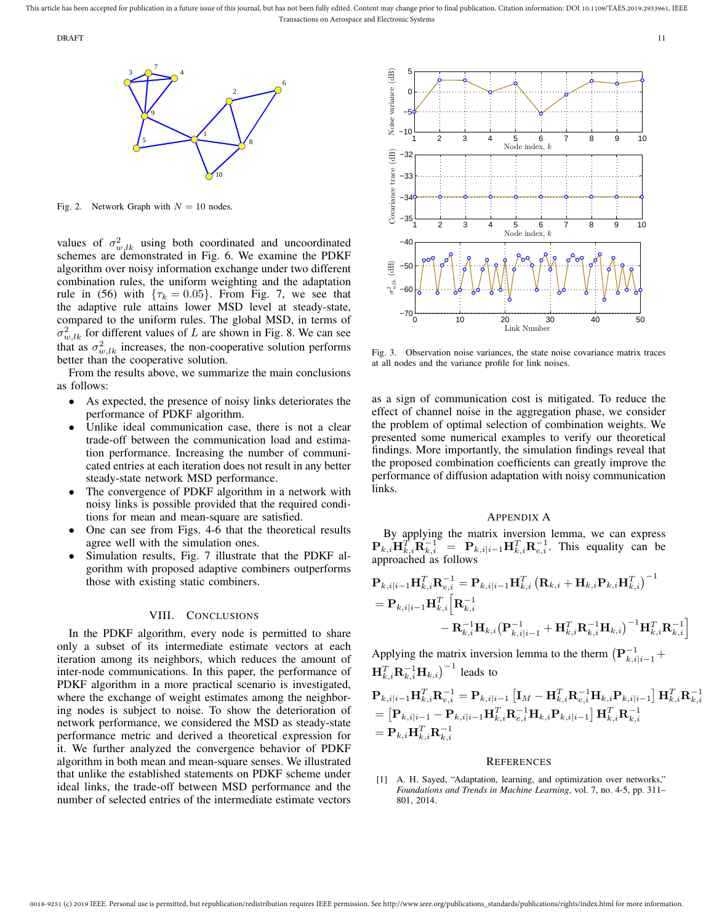0018-9251 (c) 2019 IEEE. Personal use is permitted, but republication/redistribution requires IEEE permission. See http://www.ieee.org/publications\_standards/publications/rights/index.html for more information



Fig. 2. Network Graph with  $N = 10$  nodes.

algorithm over noisy information exchange under two different combination rules, the uniform weighting and the adaptation values of  $\sigma_{w,lk}^2$  using both coordinated and uncoordinated schemes are demonstrated in Fig. 6. We examine the PDKF rule in (56) with  $\{\tau_k = 0.05\}$ . From Fig. 7, we see that the adaptive rule attains lower MSD level at steady-state, compared to the uniform rules. The global MSD, in terms of  $\sigma_{w,lk}^2$  for different values of L are shown in Fig. 8. We can see that as  $\sigma_{w,lk}^2$  increases, the non-cooperative solution performs better than the cooperative solution.

From the results above, we summarize the main conclusions as follows:

- As expected, the presence of noisy links deteriorates the performance of PDKF algorithm.
- Unlike ideal communication case, there is not a clear trade-off between the communication load and estimation performance. Increasing the number of communicated entries at each iteration does not result in any better steady-state network MSD performance.
- The convergence of PDKF algorithm in a network with noisy links is possible provided that the required conditions for mean and mean-square are satisfied.
- One can see from Figs. 4-6 that the theoretical results agree well with the simulation ones.
- Simulation results, Fig. 7 illustrate that the PDKF algorithm with proposed adaptive combiners outperforms those with existing static combiners.

# VIII. CONCLUSIONS

In the PDKF algorithm, every node is permitted to share only a subset of its intermediate estimate vectors at each iteration among its neighbors, which reduces the amount of inter-node communications. In this paper, the performance of PDKF algorithm in a more practical scenario is investigated, where the exchange of weight estimates among the neighboring nodes is subject to noise. To show the deterioration of network performance, we considered the MSD as steady-state performance metric and derived a theoretical expression for it. We further analyzed the convergence behavior of PDKF algorithm in both mean and mean-square senses. We illustrated that unlike the established statements on PDKF scheme under ideal links, the trade-off between MSD performance and the number of selected entries of the intermediate estimate vectors



Fig. 3. Observation noise variances, the state noise covariance matrix traces at all nodes and the variance profile for link noises.

as a sign of communication cost is mitigated. To reduce the effect of channel noise in the aggregation phase, we consider the problem of optimal selection of combination weights. We presented some numerical examples to verify our theoretical findings. More importantly, the simulation findings reveal that the proposed combination coefficients can greatly improve the performance of diffusion adaptation with noisy communication links.

### APPENDIX A

By applying the matrix inversion lemma, we can express  $\mathbf{P}_{k,i} \mathbf{H}_{k,i}^T \mathbf{R}_{k,i}^{-1} = \mathbf{P}_{k,i|i-1} \mathbf{H}_{k,i}^T \mathbf{R}_{e,i}^{-1}$ . This equality can be approached as follows

$$
\begin{aligned} &\mathbf{P}_{k,i|i-1}\mathbf{H}_{k,i}^T\mathbf{R}_{e,i}^{-1}=\mathbf{P}_{k,i|i-1}\mathbf{H}_{k,i}^T\left(\mathbf{R}_{k,i}+\mathbf{H}_{k,i}\mathbf{P}_{k,i}\mathbf{H}_{k,i}^T\right)^{-1} \\ &=\mathbf{P}_{k,i|i-1}\mathbf{H}_{k,i}^T\Big[\mathbf{R}_{k,i}^{-1} \\ &\quad-\mathbf{R}_{k,i}^{-1}\mathbf{H}_{k,i}\big(\mathbf{P}_{k,i|i-1}^{-1}+\mathbf{H}_{k,i}^T\mathbf{R}_{k,i}^{-1}\mathbf{H}_{k,i}\big)^{-1}\mathbf{H}_{k,i}^T\mathbf{R}_{k,i}^{-1}\Big] \end{aligned}
$$

Applying the matrix inversion lemma to the therm  $(\mathbf{P}_{k,i|i-1}^{-1} +$  $\mathbf{H}_{k,i}^T \mathbf{R}_{k,i}^{-1} \mathbf{H}_{k,i} \big)^{-1}$  leads to

$$
\begin{aligned} &\mathbf{P}_{k,i|i-1}\mathbf{H}_{k,i}^T\mathbf{R}_{e,i}^{-1}=\mathbf{P}_{k,i|i-1}\left[\mathbf{I}_M-\mathbf{H}_{k,i}^T\mathbf{R}_{e,i}^{-1}\mathbf{H}_{k,i}\mathbf{P}_{k,i|i-1}\right]\mathbf{H}_{k,i}^T\mathbf{R}_{k,i}^{-1} \\ &=\left[\mathbf{P}_{k,i|i-1}-\mathbf{P}_{k,i|i-1}\mathbf{H}_{k,i}^T\mathbf{R}_{e,i}^{-1}\mathbf{H}_{k,i}\mathbf{P}_{k,i|i-1}\right]\mathbf{H}_{k,i}^T\mathbf{R}_{k,i}^{-1} \\ &=\mathbf{P}_{k,i}\mathbf{H}_{k,i}^T\mathbf{R}_{k,i}^{-1} \end{aligned}
$$

## **REFERENCES**

[1] A. H. Sayed, "Adaptation, learning, and optimization over networks," *Foundations and Trends in Machine Learning*, vol. 7, no. 4-5, pp. 311– 801, 2014.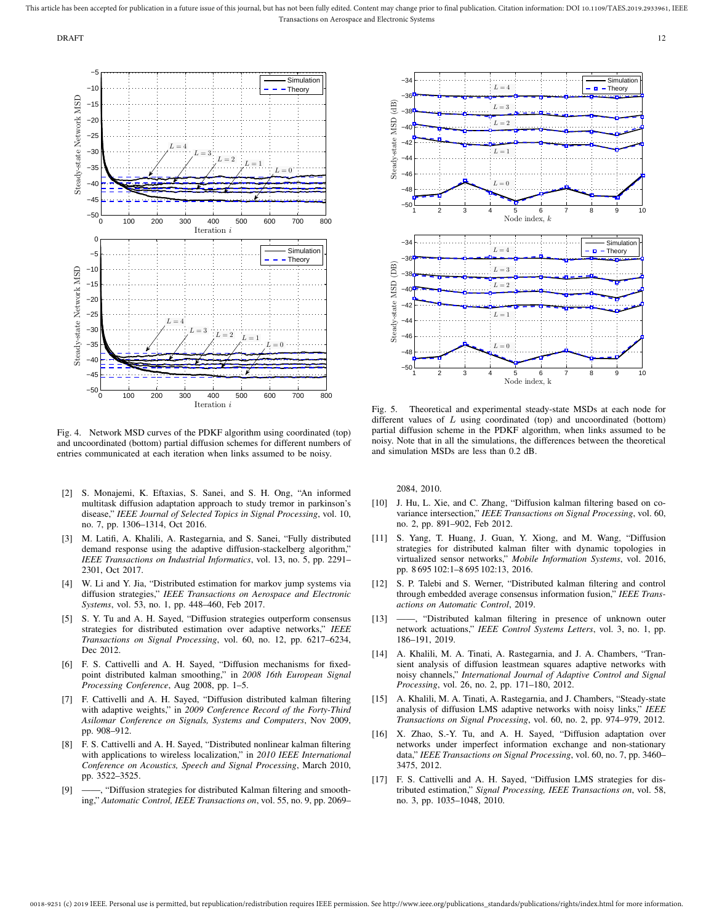

Fig. 4. Network MSD curves of the PDKF algorithm using coordinated (top) and uncoordinated (bottom) partial diffusion schemes for different numbers of entries communicated at each iteration when links assumed to be noisy.

- [2] S. Monajemi, K. Eftaxias, S. Sanei, and S. H. Ong, "An informed multitask diffusion adaptation approach to study tremor in parkinson's disease," *IEEE Journal of Selected Topics in Signal Processing*, vol. 10, no. 7, pp. 1306–1314, Oct 2016.
- [3] M. Latifi, A. Khalili, A. Rastegarnia, and S. Sanei, "Fully distributed demand response using the adaptive diffusion-stackelberg algorithm," *IEEE Transactions on Industrial Informatics*, vol. 13, no. 5, pp. 2291– 2301, Oct 2017.
- [4] W. Li and Y. Jia, "Distributed estimation for markov jump systems via diffusion strategies," *IEEE Transactions on Aerospace and Electronic Systems*, vol. 53, no. 1, pp. 448–460, Feb 2017.
- [5] S. Y. Tu and A. H. Sayed, "Diffusion strategies outperform consensus strategies for distributed estimation over adaptive networks," *IEEE Transactions on Signal Processing*, vol. 60, no. 12, pp. 6217–6234, Dec 2012.
- [6] F. S. Cattivelli and A. H. Sayed, "Diffusion mechanisms for fixedpoint distributed kalman smoothing," in *2008 16th European Signal Processing Conference*, Aug 2008, pp. 1–5.
- [7] F. Cattivelli and A. H. Sayed, "Diffusion distributed kalman filtering with adaptive weights," in *2009 Conference Record of the Forty-Third Asilomar Conference on Signals, Systems and Computers*, Nov 2009, pp. 908–912.
- [8] F. S. Cattivelli and A. H. Sayed, "Distributed nonlinear kalman filtering with applications to wireless localization," in *2010 IEEE International Conference on Acoustics, Speech and Signal Processing*, March 2010, pp. 3522–3525.
- [9] -- , "Diffusion strategies for distributed Kalman filtering and smoothing," *Automatic Control, IEEE Transactions on*, vol. 55, no. 9, pp. 2069–



Fig. 5. Theoretical and experimental steady-state MSDs at each node for different values of L using coordinated (top) and uncoordinated (bottom) partial diffusion scheme in the PDKF algorithm, when links assumed to be noisy. Note that in all the simulations, the differences between the theoretical and simulation MSDs are less than 0.2 dB.

2084, 2010.

- [10] J. Hu, L. Xie, and C. Zhang, "Diffusion kalman filtering based on covariance intersection," *IEEE Transactions on Signal Processing*, vol. 60, no. 2, pp. 891–902, Feb 2012.
- [11] S. Yang, T. Huang, J. Guan, Y. Xiong, and M. Wang, "Diffusion strategies for distributed kalman filter with dynamic topologies in virtualized sensor networks," *Mobile Information Systems*, vol. 2016, pp. 8 695 102:1–8 695 102:13, 2016.
- [12] S. P. Talebi and S. Werner, "Distributed kalman filtering and control through embedded average consensus information fusion," *IEEE Transactions on Automatic Control*, 2019.
- [13] ——, "Distributed kalman filtering in presence of unknown outer network actuations," *IEEE Control Systems Letters*, vol. 3, no. 1, pp. 186–191, 2019.
- [14] A. Khalili, M. A. Tinati, A. Rastegarnia, and J. A. Chambers, "Transient analysis of diffusion leastmean squares adaptive networks with noisy channels," *International Journal of Adaptive Control and Signal Processing*, vol. 26, no. 2, pp. 171–180, 2012.
- [15] A. Khalili, M. A. Tinati, A. Rastegarnia, and J. Chambers, "Steady-state analysis of diffusion LMS adaptive networks with noisy links," *IEEE Transactions on Signal Processing*, vol. 60, no. 2, pp. 974–979, 2012.
- [16] X. Zhao, S.-Y. Tu, and A. H. Sayed, "Diffusion adaptation over networks under imperfect information exchange and non-stationary data," *IEEE Transactions on Signal Processing*, vol. 60, no. 7, pp. 3460– 3475, 2012.
- [17] F. S. Cattivelli and A. H. Sayed, "Diffusion LMS strategies for distributed estimation," *Signal Processing, IEEE Transactions on*, vol. 58, no. 3, pp. 1035–1048, 2010.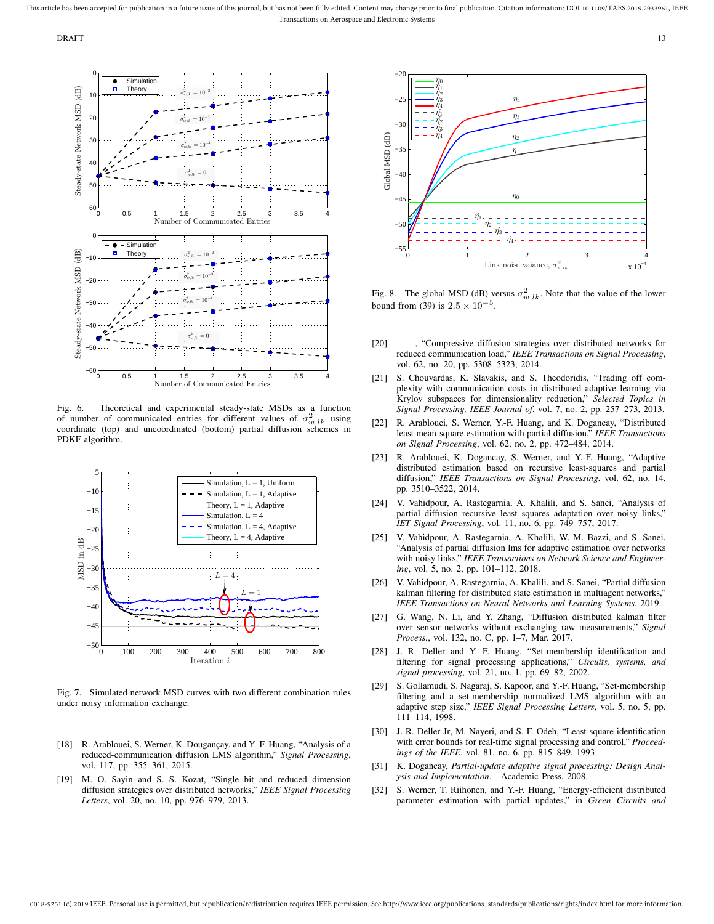DRAFT 2002 and 2003 and 2003 and 2003 and 2003 and 2003 and 2003 and 2003 and 2003 and 2003 and 2003 and 2003



Fig. 6. Theoretical and experimental steady-state MSDs as a function of number of communicated entries for different values of  $\sigma_{w,lk}^2$  using coordinate (top) and uncoordinated (bottom) partial diffusion schemes in PDKF algorithm.



Fig. 7. Simulated network MSD curves with two different combination rules under noisy information exchange.

- [18] R. Arablouei, S. Werner, K. Dougançay, and Y.-F. Huang, "Analysis of a reduced-communication diffusion LMS algorithm," *Signal Processing*, vol. 117, pp. 355–361, 2015.
- [19] M. O. Sayin and S. S. Kozat, "Single bit and reduced dimension diffusion strategies over distributed networks," *IEEE Signal Processing Letters*, vol. 20, no. 10, pp. 976–979, 2013.



Fig. 8. The global MSD (dB) versus  $\sigma_{w,l,k}^2$ . Note that the value of the lower bound from (39) is  $2.5 \times 10^{-5}$ .

- [20] ——, "Compressive diffusion strategies over distributed networks for reduced communication load," *IEEE Transactions on Signal Processing*, vol. 62, no. 20, pp. 5308–5323, 2014.
- [21] S. Chouvardas, K. Slavakis, and S. Theodoridis, "Trading off complexity with communication costs in distributed adaptive learning via Krylov subspaces for dimensionality reduction," *Selected Topics in Signal Processing, IEEE Journal of*, vol. 7, no. 2, pp. 257–273, 2013.
- [22] R. Arablouei, S. Werner, Y.-F. Huang, and K. Dogancay, "Distributed least mean-square estimation with partial diffusion," *IEEE Transactions on Signal Processing*, vol. 62, no. 2, pp. 472–484, 2014.
- [23] R. Arablouei, K. Dogancay, S. Werner, and Y.-F. Huang, "Adaptive distributed estimation based on recursive least-squares and partial diffusion," *IEEE Transactions on Signal Processing*, vol. 62, no. 14, pp. 3510–3522, 2014.
- [24] V. Vahidpour, A. Rastegarnia, A. Khalili, and S. Sanei, "Analysis of partial diffusion recursive least squares adaptation over noisy links," *IET Signal Processing*, vol. 11, no. 6, pp. 749–757, 2017.
- [25] V. Vahidpour, A. Rastegarnia, A. Khalili, W. M. Bazzi, and S. Sanei, "Analysis of partial diffusion lms for adaptive estimation over networks with noisy links," *IEEE Transactions on Network Science and Engineering*, vol. 5, no. 2, pp. 101–112, 2018.
- [26] V. Vahidpour, A. Rastegarnia, A. Khalili, and S. Sanei, "Partial diffusion kalman filtering for distributed state estimation in multiagent networks," *IEEE Transactions on Neural Networks and Learning Systems*, 2019.
- [27] G. Wang, N. Li, and Y. Zhang, "Diffusion distributed kalman filter over sensor networks without exchanging raw measurements," *Signal Process.*, vol. 132, no. C, pp. 1–7, Mar. 2017.
- [28] J. R. Deller and Y. F. Huang, "Set-membership identification and filtering for signal processing applications," *Circuits, systems, and signal processing*, vol. 21, no. 1, pp. 69–82, 2002.
- [29] S. Gollamudi, S. Nagaraj, S. Kapoor, and Y.-F. Huang, "Set-membership filtering and a set-membership normalized LMS algorithm with an adaptive step size," *IEEE Signal Processing Letters*, vol. 5, no. 5, pp. 111–114, 1998.
- [30] J. R. Deller Jr, M. Nayeri, and S. F. Odeh, "Least-square identification with error bounds for real-time signal processing and control," *Proceedings of the IEEE*, vol. 81, no. 6, pp. 815–849, 1993.
- [31] K. Dogancay, *Partial-update adaptive signal processing: Design Analysis and Implementation*. Academic Press, 2008.
- [32] S. Werner, T. Riihonen, and Y.-F. Huang, "Energy-efficient distributed parameter estimation with partial updates," in *Green Circuits and*